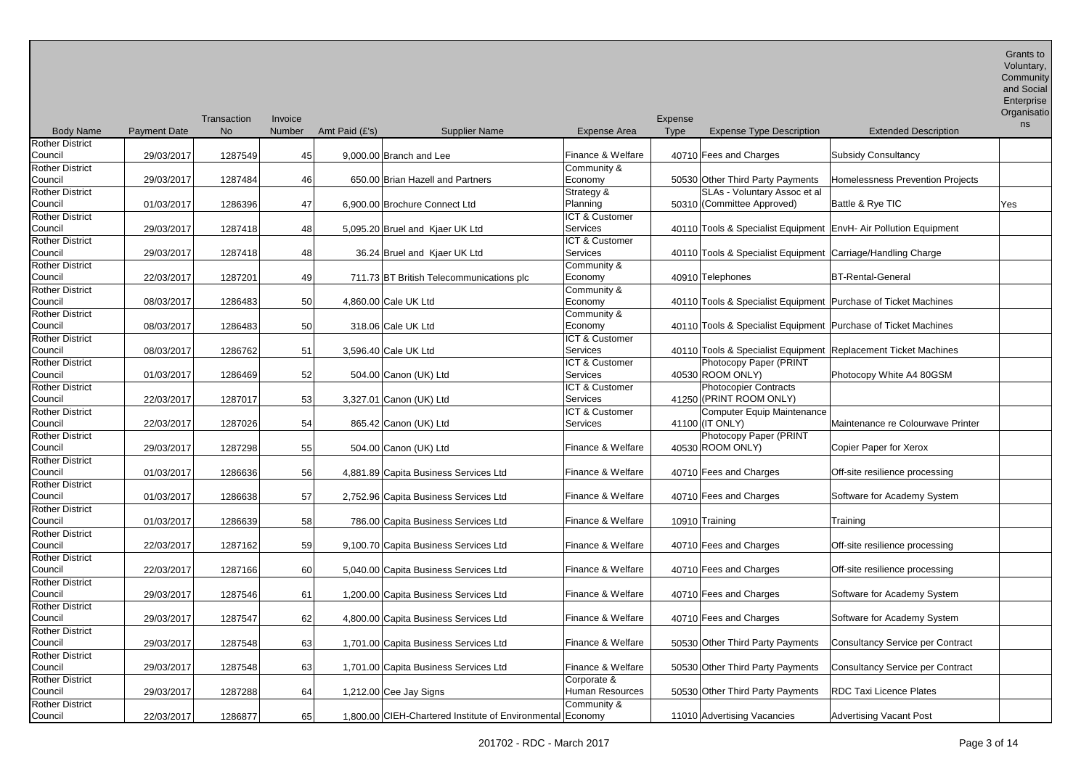| <b>Body Name</b>       | <b>Payment Date</b> | Transaction<br><b>No</b> | Invoice<br>Number | Amt Paid (£'s)       | <b>Supplier Name</b>                                       | <b>Expense Area</b>       | Expense<br>Type | <b>Expense Type Description</b>                                  | <b>Extended Description</b>                                      | Organisatio<br>ns |
|------------------------|---------------------|--------------------------|-------------------|----------------------|------------------------------------------------------------|---------------------------|-----------------|------------------------------------------------------------------|------------------------------------------------------------------|-------------------|
| <b>Rother District</b> |                     |                          |                   |                      |                                                            |                           |                 |                                                                  |                                                                  |                   |
| Council                | 29/03/2017          | 1287549                  | 45                |                      | 9,000.00 Branch and Lee                                    | Finance & Welfare         |                 | 40710 Fees and Charges                                           | <b>Subsidy Consultancy</b>                                       |                   |
| <b>Rother District</b> |                     |                          |                   |                      |                                                            | Community &               |                 |                                                                  |                                                                  |                   |
| Council                | 29/03/2017          | 1287484                  | 46                |                      | 650.00 Brian Hazell and Partners                           | Economy                   |                 | 50530 Other Third Party Payments                                 | <b>Homelessness Prevention Projects</b>                          |                   |
| <b>Rother District</b> |                     |                          |                   |                      |                                                            | Strategy &                |                 | SLAs - Voluntary Assoc et al                                     |                                                                  |                   |
| Council                | 01/03/2017          | 1286396                  | 47                |                      | 6,900.00 Brochure Connect Ltd                              | Planning                  |                 | 50310 (Committee Approved)                                       | Battle & Rye TIC                                                 | Yes               |
| <b>Rother District</b> |                     |                          |                   |                      |                                                            | ICT & Customer            |                 |                                                                  |                                                                  |                   |
| Council                | 29/03/2017          | 1287418                  | 48                |                      | 5,095.20 Bruel and Kjaer UK Ltd                            | Services                  |                 |                                                                  | 40110 Tools & Specialist Equipment EnvH- Air Pollution Equipment |                   |
| <b>Rother District</b> |                     |                          |                   |                      |                                                            | <b>ICT &amp; Customer</b> |                 |                                                                  |                                                                  |                   |
| Council                | 29/03/2017          | 1287418                  | 48                |                      | 36.24 Bruel and Kjaer UK Ltd                               | Services                  |                 | 40110 Tools & Specialist Equipment Carriage/Handling Charge      |                                                                  |                   |
| <b>Rother District</b> |                     |                          |                   |                      |                                                            | Community &               |                 |                                                                  |                                                                  |                   |
| Council                | 22/03/2017          | 1287201                  | 49                |                      | 711.73 BT British Telecommunications plc                   | Economy                   |                 | 40910 Telephones                                                 | <b>BT-Rental-General</b>                                         |                   |
| <b>Rother District</b> |                     |                          |                   |                      |                                                            | Community &               |                 |                                                                  |                                                                  |                   |
| Council                | 08/03/2017          | 1286483                  | 50                | 4,860.00 Cale UK Ltd |                                                            | Economy                   |                 | 40110 Tools & Specialist Equipment   Purchase of Ticket Machines |                                                                  |                   |
| <b>Rother District</b> |                     |                          |                   |                      |                                                            | Community &               |                 |                                                                  |                                                                  |                   |
| Council                | 08/03/2017          | 1286483                  | 50                | 318.06 Cale UK Ltd   |                                                            | Economy                   |                 | 40110 Tools & Specialist Equipment Purchase of Ticket Machines   |                                                                  |                   |
| <b>Rother District</b> |                     |                          |                   |                      |                                                            | ICT & Customer            |                 |                                                                  |                                                                  |                   |
| Council                | 08/03/2017          | 1286762                  | 51                | 3,596.40 Cale UK Ltd |                                                            | Services                  |                 |                                                                  | 40110 Tools & Specialist Equipment Replacement Ticket Machines   |                   |
| <b>Rother District</b> |                     |                          |                   |                      |                                                            | ICT & Customer            |                 | Photocopy Paper (PRINT                                           |                                                                  |                   |
| Council                | 01/03/2017          | 1286469                  | 52                |                      | 504.00 Canon (UK) Ltd                                      | Services                  |                 | 40530 ROOM ONLY)                                                 | Photocopy White A4 80GSM                                         |                   |
| <b>Rother District</b> |                     |                          |                   |                      |                                                            | ICT & Customer            |                 | <b>Photocopier Contracts</b>                                     |                                                                  |                   |
| Council                | 22/03/2017          | 1287017                  | 53                |                      | 3,327.01 Canon (UK) Ltd                                    | Services                  |                 | 41250 (PRINT ROOM ONLY)                                          |                                                                  |                   |
| <b>Rother District</b> |                     |                          |                   |                      |                                                            | ICT & Customer            |                 | Computer Equip Maintenance                                       |                                                                  |                   |
| Council                | 22/03/2017          | 1287026                  | 54                |                      | 865.42 Canon (UK) Ltd                                      | Services                  |                 | 41100 (IT ONLY)                                                  | Maintenance re Colourwave Printer                                |                   |
| <b>Rother District</b> |                     |                          |                   |                      |                                                            |                           |                 | Photocopy Paper (PRINT                                           |                                                                  |                   |
| Council                | 29/03/2017          | 1287298                  | 55                |                      | 504.00 Canon (UK) Ltd                                      | Finance & Welfare         |                 | 40530 ROOM ONLY)                                                 | Copier Paper for Xerox                                           |                   |
| <b>Rother District</b> |                     |                          |                   |                      |                                                            |                           |                 |                                                                  |                                                                  |                   |
| Council                | 01/03/2017          | 1286636                  | 56                |                      | 4,881.89 Capita Business Services Ltd                      | Finance & Welfare         |                 | 40710 Fees and Charges                                           | Off-site resilience processing                                   |                   |
| <b>Rother District</b> |                     |                          |                   |                      |                                                            |                           |                 |                                                                  |                                                                  |                   |
| Council                | 01/03/2017          | 1286638                  | 57                |                      | 2,752.96 Capita Business Services Ltd                      | Finance & Welfare         |                 | 40710 Fees and Charges                                           | Software for Academy System                                      |                   |
| <b>Rother District</b> |                     |                          |                   |                      |                                                            |                           |                 |                                                                  |                                                                  |                   |
| Council                | 01/03/2017          | 1286639                  | 58                |                      | 786.00 Capita Business Services Ltd                        | Finance & Welfare         |                 | 10910 Training                                                   | Training                                                         |                   |
| <b>Rother District</b> |                     |                          |                   |                      |                                                            |                           |                 |                                                                  |                                                                  |                   |
| Council                | 22/03/2017          | 1287162                  | 59                |                      | 9,100.70 Capita Business Services Ltd                      | Finance & Welfare         |                 | 40710 Fees and Charges                                           | Off-site resilience processing                                   |                   |
| <b>Rother District</b> |                     |                          |                   |                      |                                                            |                           |                 |                                                                  |                                                                  |                   |
| Council                | 22/03/2017          | 1287166                  | 60                |                      | 5,040.00 Capita Business Services Ltd                      | Finance & Welfare         |                 | 40710 Fees and Charges                                           | Off-site resilience processing                                   |                   |
| <b>Rother District</b> |                     |                          |                   |                      |                                                            |                           |                 |                                                                  |                                                                  |                   |
| Council                | 29/03/2017          | 1287546                  | 61                |                      | 1,200.00 Capita Business Services Ltd                      | Finance & Welfare         |                 | 40710 Fees and Charges                                           | Software for Academy System                                      |                   |
| <b>Rother District</b> |                     |                          |                   |                      |                                                            |                           |                 |                                                                  |                                                                  |                   |
| Council                | 29/03/2017          | 1287547                  | 62                |                      | 4,800.00 Capita Business Services Ltd                      | Finance & Welfare         |                 | 40710 Fees and Charges                                           | Software for Academy System                                      |                   |
| <b>Rother District</b> |                     |                          |                   |                      |                                                            |                           |                 |                                                                  |                                                                  |                   |
| Council                | 29/03/2017          | 1287548                  | 63                |                      | 1,701.00 Capita Business Services Ltd                      | Finance & Welfare         |                 | 50530 Other Third Party Payments                                 | <b>Consultancy Service per Contract</b>                          |                   |
| <b>Rother District</b> |                     |                          |                   |                      |                                                            |                           |                 |                                                                  |                                                                  |                   |
| Council                | 29/03/2017          | 1287548                  | 63                |                      | 1,701.00 Capita Business Services Ltd                      | Finance & Welfare         |                 | 50530 Other Third Party Payments                                 | <b>Consultancy Service per Contract</b>                          |                   |
| <b>Rother District</b> |                     |                          |                   |                      |                                                            | Corporate &               |                 |                                                                  |                                                                  |                   |
| Council                | 29/03/2017          | 1287288                  |                   |                      |                                                            | Human Resources           |                 | 50530 Other Third Party Payments                                 | <b>RDC Taxi Licence Plates</b>                                   |                   |
| <b>Rother District</b> |                     |                          | 64                |                      | $1,212.00$ Cee Jay Signs                                   | Community &               |                 |                                                                  |                                                                  |                   |
| Council                | 22/03/2017          | 1286877                  | 65                |                      | 1,800.00 CIEH-Chartered Institute of Environmental Economy |                           |                 | 11010 Advertising Vacancies                                      | <b>Advertising Vacant Post</b>                                   |                   |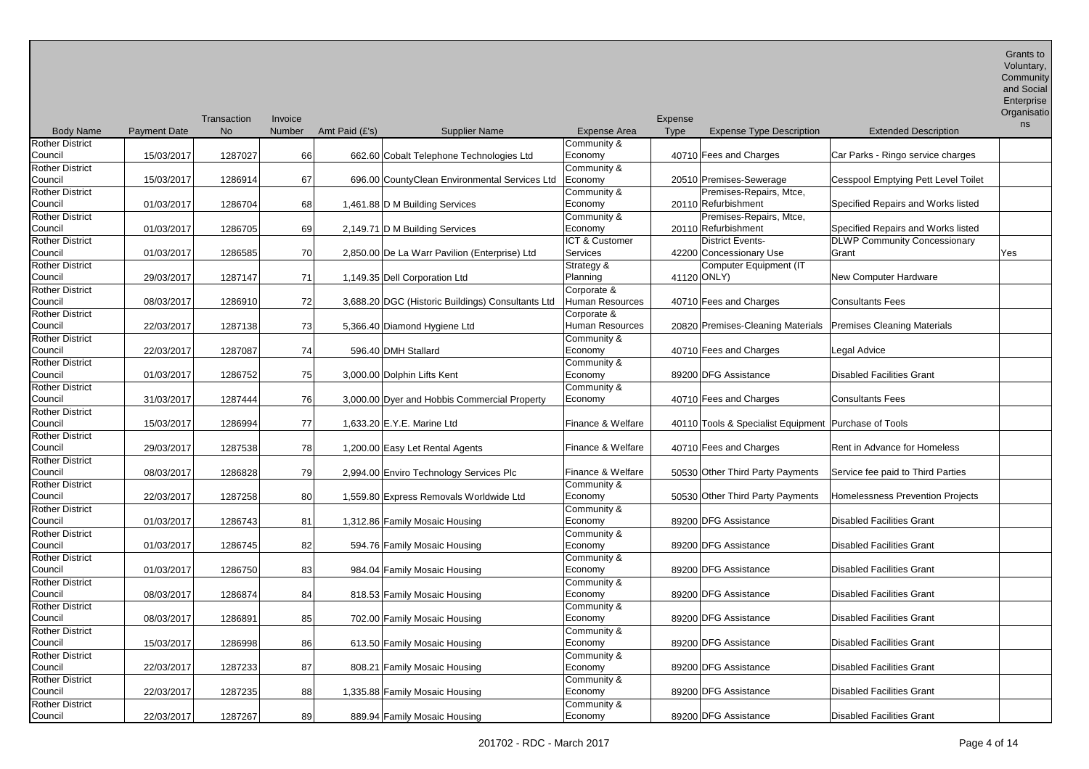and Social

| Enterprise  |
|-------------|
| Organisatio |

|                        |                     | Transaction | <i><b>Invoice</b></i> |                                                   |                   | Expense |                                                               |                                            | ns  |
|------------------------|---------------------|-------------|-----------------------|---------------------------------------------------|-------------------|---------|---------------------------------------------------------------|--------------------------------------------|-----|
| <b>Body Name</b>       | <b>Payment Date</b> | <b>No</b>   | <b>Number</b>         | Amt Paid (£'s)<br><b>Supplier Name</b>            | Expense Area      | Type    | <b>Expense Type Description</b>                               | <b>Extended Description</b>                |     |
| <b>Rother District</b> |                     |             |                       |                                                   | Community &       |         |                                                               |                                            |     |
| Council                | 15/03/2017          | 1287027     | 66                    | 662.60 Cobalt Telephone Technologies Ltd          | Economy           |         | 40710 Fees and Charges                                        | Car Parks - Ringo service charges          |     |
| <b>Rother District</b> |                     |             |                       |                                                   | Community &       |         |                                                               |                                            |     |
| Council                | 15/03/2017          | 1286914     | 67                    | 696.00 CountyClean Environmental Services Ltd     | Economy           |         | 20510 Premises-Sewerage                                       | <b>Cesspool Emptying Pett Level Toilet</b> |     |
| <b>Rother District</b> |                     |             |                       |                                                   | Community &       |         | Premises-Repairs, Mtce,                                       |                                            |     |
| Council                | 01/03/2017          | 1286704     | 68                    | 1,461.88 D M Building Services                    | Economy           |         | 20110 Refurbishment                                           | Specified Repairs and Works listed         |     |
| Rother District        |                     |             |                       |                                                   | Community &       |         | Premises-Repairs, Mtce,                                       |                                            |     |
| Council                | 01/03/2017          | 1286705     | 69                    | 2,149.71 D M Building Services                    | Economy           |         | 20110 Refurbishment                                           | Specified Repairs and Works listed         |     |
| Rother District        |                     |             |                       |                                                   | ICT & Customer    |         | <b>District Events-</b>                                       | <b>DLWP Community Concessionary</b>        |     |
| Council                |                     | 1286585     | 70                    |                                                   | Services          |         | 42200 Concessionary Use                                       | Grant                                      |     |
|                        | 01/03/2017          |             |                       | 2,850.00 De La Warr Pavilion (Enterprise) Ltd     |                   |         |                                                               |                                            | Yes |
| Rother District        |                     |             |                       |                                                   | Strategy &        |         | Computer Equipment (IT                                        |                                            |     |
| Council                | 29/03/2017          | 1287147     | 71                    | 1,149.35 Dell Corporation Ltd                     | Planning          |         | 41120 ONLY)                                                   | <b>New Computer Hardware</b>               |     |
| <b>Rother District</b> |                     |             |                       |                                                   | Corporate &       |         |                                                               |                                            |     |
| Council                | 08/03/2017          | 1286910     | 72                    | 3,688.20 DGC (Historic Buildings) Consultants Ltd | Human Resources   |         | 40710 Fees and Charges                                        | <b>Consultants Fees</b>                    |     |
| <b>Rother District</b> |                     |             |                       |                                                   | Corporate &       |         |                                                               |                                            |     |
| Council                | 22/03/2017          | 1287138     | 73                    | 5,366.40 Diamond Hygiene Ltd                      | Human Resources   |         | 20820 Premises-Cleaning Materials Premises Cleaning Materials |                                            |     |
| Rother District        |                     |             |                       |                                                   | Community &       |         |                                                               |                                            |     |
| Council                | 22/03/2017          | 1287087     | 74                    | 596.40 DMH Stallard                               | Economy           |         | 40710 Fees and Charges                                        | Legal Advice                               |     |
| Rother District        |                     |             |                       |                                                   | Community &       |         |                                                               |                                            |     |
| Council                | 01/03/2017          | 1286752     | 75                    | 3,000.00 Dolphin Lifts Kent                       | Economy           |         | 89200 DFG Assistance                                          | <b>Disabled Facilities Grant</b>           |     |
| Rother District        |                     |             |                       |                                                   | Community &       |         |                                                               |                                            |     |
| Council                | 31/03/2017          | 1287444     | 76                    | 3,000.00 Dyer and Hobbis Commercial Property      | Economy           |         | 40710 Fees and Charges                                        | <b>Consultants Fees</b>                    |     |
| Rother District        |                     |             |                       |                                                   |                   |         |                                                               |                                            |     |
| Council                | 15/03/2017          | 1286994     | 77                    | 1,633.20 E.Y.E. Marine Ltd                        | Finance & Welfare |         | 40110 Tools & Specialist Equipment   Purchase of Tools        |                                            |     |
| <b>Rother District</b> |                     |             |                       |                                                   |                   |         |                                                               |                                            |     |
| Council                | 29/03/2017          | 1287538     | 78                    | 1,200.00 Easy Let Rental Agents                   | Finance & Welfare |         | 40710 Fees and Charges                                        | Rent in Advance for Homeless               |     |
| Rother District        |                     |             |                       |                                                   |                   |         |                                                               |                                            |     |
| Council                | 08/03/2017          | 1286828     | 79                    | 2,994.00 Enviro Technology Services Plc           | Finance & Welfare |         | 50530 Other Third Party Payments                              | Service fee paid to Third Parties          |     |
| <b>Rother District</b> |                     |             |                       |                                                   | Community &       |         |                                                               |                                            |     |
| Council                | 22/03/2017          | 1287258     | 80                    | 1,559.80 Express Removals Worldwide Ltd           | Economy           |         | 50530 Other Third Party Payments                              | Homelessness Prevention Projects           |     |
| <b>Rother District</b> |                     |             |                       |                                                   | Community &       |         |                                                               |                                            |     |
| Council                | 01/03/2017          | 1286743     | 81                    | 1,312.86 Family Mosaic Housing                    | Economy           |         | 89200 DFG Assistance                                          | <b>Disabled Facilities Grant</b>           |     |
| Rother District        |                     |             |                       |                                                   | Community &       |         |                                                               |                                            |     |
| Council                |                     | 1286745     | 82                    |                                                   | Economy           |         | 89200 DFG Assistance                                          | <b>Disabled Facilities Grant</b>           |     |
| <b>Rother District</b> | 01/03/2017          |             |                       | 594.76 Family Mosaic Housing                      | Community &       |         |                                                               |                                            |     |
|                        |                     |             |                       |                                                   |                   |         |                                                               |                                            |     |
| Council                | 01/03/2017          | 1286750     | 83                    | 984.04 Family Mosaic Housing                      | Economy           |         | 89200 DFG Assistance                                          | <b>Disabled Facilities Grant</b>           |     |
| <b>Rother District</b> |                     |             |                       |                                                   | Community &       |         |                                                               |                                            |     |
| Council                | 08/03/2017          | 1286874     | 84                    | 818.53 Family Mosaic Housing                      | Economy           |         | 89200 DFG Assistance                                          | <b>Disabled Facilities Grant</b>           |     |
| <b>Rother District</b> |                     |             |                       |                                                   | Community &       |         |                                                               |                                            |     |
| Council                | 08/03/2017          | 1286891     | 85                    | 702.00 Family Mosaic Housing                      | Economy           |         | 89200 DFG Assistance                                          | <b>Disabled Facilities Grant</b>           |     |
| Rother District        |                     |             |                       |                                                   | Community &       |         |                                                               |                                            |     |
| Council                | 15/03/2017          | 1286998     | 86                    | 613.50 Family Mosaic Housing                      | Economy           |         | 89200 DFG Assistance                                          | <b>Disabled Facilities Grant</b>           |     |
| <b>Rother District</b> |                     |             |                       |                                                   | Community &       |         |                                                               |                                            |     |
| Council                | 22/03/2017          | 1287233     | 87                    | 808.21 Family Mosaic Housing                      | Economy           |         | 89200 DFG Assistance                                          | <b>Disabled Facilities Grant</b>           |     |
| Rother District        |                     |             |                       |                                                   | Community &       |         |                                                               |                                            |     |
| Council                | 22/03/2017          | 1287235     | 88                    | 1,335.88 Family Mosaic Housing                    | Economy           |         | 89200 DFG Assistance                                          | <b>Disabled Facilities Grant</b>           |     |
| <b>Rother District</b> |                     |             |                       |                                                   | Community &       |         |                                                               |                                            |     |
| Council                | 22/03/2017          | 1287267     | 89                    | 889.94 Family Mosaic Housing                      | Economy           |         | 89200 DFG Assistance                                          | <b>Disabled Facilities Grant</b>           |     |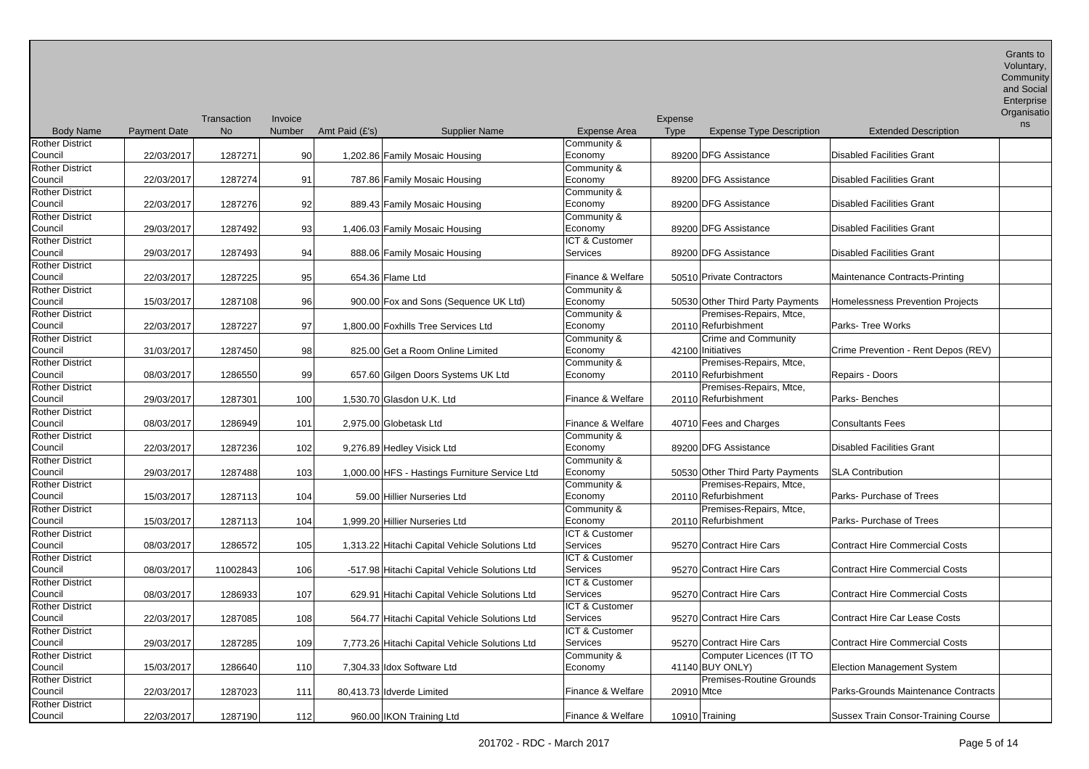Grants to Voluntary, **Community** 

|                                   |                     | Transaction | Invoice |                  |                                                |                           | Expense                                        |                                         | Enterprise<br>Organisatio<br>ns |
|-----------------------------------|---------------------|-------------|---------|------------------|------------------------------------------------|---------------------------|------------------------------------------------|-----------------------------------------|---------------------------------|
| <b>Body Name</b>                  | <b>Payment Date</b> | <b>No</b>   | Number  | Amt Paid $(E's)$ | <b>Supplier Name</b>                           | <b>Expense Area</b>       | <b>Type</b><br><b>Expense Type Description</b> | <b>Extended Description</b>             |                                 |
| <b>Rother District</b>            |                     |             |         |                  |                                                | Community &               |                                                |                                         |                                 |
| Council                           | 22/03/2017          | 1287271     | 90      |                  | 1,202.86 Family Mosaic Housing                 | Economy                   | 89200 DFG Assistance                           | <b>Disabled Facilities Grant</b>        |                                 |
| <b>Rother District</b>            |                     |             |         |                  |                                                | Community &               |                                                |                                         |                                 |
| Council                           | 22/03/2017          | 1287274     | 91      |                  | 787.86 Family Mosaic Housing                   | Economy                   | 89200 DFG Assistance                           | <b>Disabled Facilities Grant</b>        |                                 |
| <b>Rother District</b>            |                     |             |         |                  |                                                | Community &               |                                                |                                         |                                 |
| Council                           | 22/03/2017          | 1287276     | 92      |                  | 889.43 Family Mosaic Housing                   | Economy                   | 89200 DFG Assistance                           | <b>Disabled Facilities Grant</b>        |                                 |
| Rother District                   |                     |             |         |                  |                                                | Community &               |                                                |                                         |                                 |
| Council                           | 29/03/2017          | 1287492     | 93      |                  | 1,406.03 Family Mosaic Housing                 | Economy                   | 89200 DFG Assistance                           | <b>Disabled Facilities Grant</b>        |                                 |
| <b>Rother District</b>            |                     |             |         |                  |                                                | <b>ICT &amp; Customer</b> |                                                |                                         |                                 |
| Council                           | 29/03/2017          | 1287493     | 94      |                  | 888.06 Family Mosaic Housing                   | Services                  | 89200 DFG Assistance                           | <b>Disabled Facilities Grant</b>        |                                 |
| <b>Rother District</b>            |                     |             |         |                  |                                                |                           |                                                |                                         |                                 |
| Council                           | 22/03/2017          | 1287225     | 95      |                  | 654.36 Flame Ltd                               | Finance & Welfare         | 50510 Private Contractors                      | Maintenance Contracts-Printing          |                                 |
| <b>Rother District</b>            |                     |             |         |                  |                                                | Community &               |                                                |                                         |                                 |
| Council                           | 15/03/2017          | 1287108     | 96      |                  | 900.00 Fox and Sons (Sequence UK Ltd)          | Economy                   | 50530 Other Third Party Payments               | <b>Homelessness Prevention Projects</b> |                                 |
| <b>Rother District</b>            |                     |             |         |                  |                                                | Community &               | Premises-Repairs, Mtce,                        |                                         |                                 |
| Council                           | 22/03/2017          | 1287227     | 97      |                  | 1,800.00 Foxhills Tree Services Ltd            | Economy                   | 20110 Refurbishment                            | Parks- Tree Works                       |                                 |
| <b>Rother District</b>            |                     |             |         |                  |                                                | Community &               | Crime and Community                            |                                         |                                 |
| Council                           | 31/03/2017          | 1287450     | 98      |                  | 825.00 Get a Room Online Limited               | Economy                   | 42100 Initiatives                              | Crime Prevention - Rent Depos (REV)     |                                 |
| <b>Rother District</b>            |                     |             |         |                  |                                                | Community &               | Premises-Repairs, Mtce,                        |                                         |                                 |
| Council<br><b>Rother District</b> | 08/03/2017          | 1286550     | 99      |                  | 657.60 Gilgen Doors Systems UK Ltd             | Economy                   | 20110 Refurbishment                            | Repairs - Doors                         |                                 |
| Council                           |                     |             |         |                  |                                                | Finance & Welfare         | Premises-Repairs, Mtce,                        | Parks-Benches                           |                                 |
| <b>Rother District</b>            | 29/03/2017          | 1287301     | 100     |                  | 1,530.70 Glasdon U.K. Ltd                      |                           | 20110 Refurbishment                            |                                         |                                 |
| Council                           |                     |             |         |                  |                                                | Finance & Welfare         |                                                | <b>Consultants Fees</b>                 |                                 |
| <b>Rother District</b>            | 08/03/2017          | 1286949     | 101     |                  | 2,975.00 Globetask Ltd                         | Community &               | 40710 Fees and Charges                         |                                         |                                 |
| Council                           | 22/03/2017          | 1287236     | 102     |                  | 9,276.89 Hedley Visick Ltd                     | Economy                   | 89200 DFG Assistance                           | <b>Disabled Facilities Grant</b>        |                                 |
| <b>Rother District</b>            |                     |             |         |                  |                                                | Community &               |                                                |                                         |                                 |
| Council                           | 29/03/2017          | 1287488     | 103     |                  | 1,000.00 HFS - Hastings Furniture Service Ltd  | Economy                   | 50530 Other Third Party Payments               | <b>SLA Contribution</b>                 |                                 |
| <b>Rother District</b>            |                     |             |         |                  |                                                | Community &               | Premises-Repairs, Mtce,                        |                                         |                                 |
| Council                           | 15/03/2017          | 1287113     | 104     |                  | 59.00 Hillier Nurseries Ltd                    | Economy                   | 20110 Refurbishment                            | Parks- Purchase of Trees                |                                 |
| <b>Rother District</b>            |                     |             |         |                  |                                                | Community &               | Premises-Repairs, Mtce,                        |                                         |                                 |
| Council                           | 15/03/2017          | 1287113     | 104     |                  | 1,999.20 Hillier Nurseries Ltd                 | Economy                   | 20110 Refurbishment                            | Parks- Purchase of Trees                |                                 |
| <b>Rother District</b>            |                     |             |         |                  |                                                | ICT & Customer            |                                                |                                         |                                 |
| Council                           | 08/03/2017          | 1286572     | 105     |                  | 1,313.22 Hitachi Capital Vehicle Solutions Ltd | Services                  | 95270 Contract Hire Cars                       | <b>Contract Hire Commercial Costs</b>   |                                 |
| <b>Rother District</b>            |                     |             |         |                  |                                                | <b>ICT &amp; Customer</b> |                                                |                                         |                                 |
| Council                           | 08/03/2017          | 11002843    | 106     |                  | -517.98 Hitachi Capital Vehicle Solutions Ltd  | Services                  | 95270 Contract Hire Cars                       | <b>Contract Hire Commercial Costs</b>   |                                 |
| <b>Rother District</b>            |                     |             |         |                  |                                                | ICT & Customer            |                                                |                                         |                                 |
| Council                           | 08/03/2017          | 1286933     | 107     |                  | 629.91 Hitachi Capital Vehicle Solutions Ltd   | Services                  | 95270 Contract Hire Cars                       | <b>Contract Hire Commercial Costs</b>   |                                 |
| <b>Rother District</b>            |                     |             |         |                  |                                                | <b>ICT &amp; Customer</b> |                                                |                                         |                                 |
| Council                           | 22/03/2017          | 1287085     | 108     |                  | 564.77 Hitachi Capital Vehicle Solutions Ltd   | Services                  | 95270 Contract Hire Cars                       | <b>Contract Hire Car Lease Costs</b>    |                                 |
| <b>Rother District</b>            |                     |             |         |                  |                                                | ICT & Customer            |                                                |                                         |                                 |
| Council                           | 29/03/2017          | 1287285     | 109     |                  | 7,773.26 Hitachi Capital Vehicle Solutions Ltd | Services                  | 95270 Contract Hire Cars                       | <b>Contract Hire Commercial Costs</b>   |                                 |
| <b>Rother District</b>            |                     |             |         |                  |                                                | Community &               | Computer Licences (IT TO                       |                                         |                                 |
| Council                           | 15/03/2017          | 1286640     | 110     |                  | 7,304.33 Idox Software Ltd                     | Economy                   | 41140 BUY ONLY)                                | <b>Election Management System</b>       |                                 |
| <b>Rother District</b>            |                     |             |         |                  |                                                |                           | Premises-Routine Grounds                       |                                         |                                 |
| Council                           | 22/03/2017          | 1287023     | 111     |                  | 80,413.73 Idverde Limited                      | Finance & Welfare         | 20910 Mtce                                     | Parks-Grounds Maintenance Contracts     |                                 |
| <b>Rother District</b>            |                     |             |         |                  |                                                |                           |                                                |                                         |                                 |

Council 22/03/2017 1287190 112 960.00 IKON Training Ltd Finance & Welfare 10910 Training Sussex Train Consor-Training Course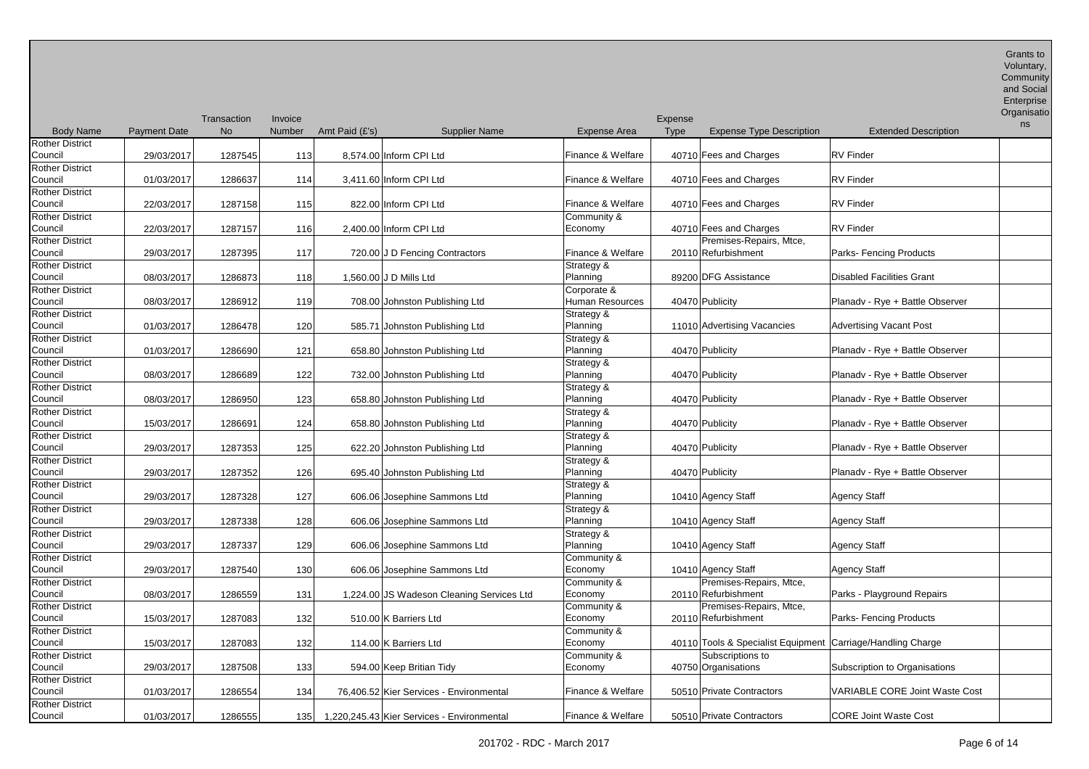| <b>Body Name</b>                  |                     | Transaction<br><b>No</b> | Invoice<br><b>Number</b> |                |                                                |                        | Expense<br><b>Type</b> |                                                             |                                       | Organisatio<br>ns |
|-----------------------------------|---------------------|--------------------------|--------------------------|----------------|------------------------------------------------|------------------------|------------------------|-------------------------------------------------------------|---------------------------------------|-------------------|
|                                   | <b>Payment Date</b> |                          |                          | Amt Paid (£'s) | <b>Supplier Name</b>                           | <b>Expense Area</b>    |                        | <b>Expense Type Description</b>                             | <b>Extended Description</b>           |                   |
| Rother District<br>Council        | 29/03/2017          | 1287545                  | 113                      |                | 8.574.00 Inform CPI Ltd                        | Finance & Welfare      |                        | 40710 Fees and Charges                                      | <b>RV</b> Finder                      |                   |
| <b>Rother District</b><br>Council | 01/03/2017          | 1286637                  | 114                      |                | 3,411.60 Inform CPI Ltd                        | Finance & Welfare      |                        | 40710 Fees and Charges                                      | <b>RV</b> Finder                      |                   |
| <b>Rother District</b><br>Council | 22/03/2017          | 1287158                  | 115                      |                | 822.00 Inform CPI Ltd                          | Finance & Welfare      |                        | 40710 Fees and Charges                                      | <b>RV</b> Finder                      |                   |
| <b>Rother District</b>            |                     |                          |                          |                |                                                | Community &            |                        |                                                             |                                       |                   |
| Council                           | 22/03/2017          | 1287157                  | 116                      |                | 2,400.00 Inform CPI Ltd                        | Economy                |                        | 40710 Fees and Charges                                      | <b>RV</b> Finder                      |                   |
| Rother District                   |                     |                          |                          |                |                                                |                        |                        | Premises-Repairs, Mtce,                                     |                                       |                   |
| Council                           | 29/03/2017          | 1287395                  | 117                      |                | 720.00 J D Fencing Contractors                 | Finance & Welfare      |                        | 20110 Refurbishment                                         | Parks- Fencing Products               |                   |
| Rother District<br>Council        | 08/03/2017          | 1286873                  | 118                      |                | 1,560.00 J D Mills Ltd                         | Strategy &<br>Planning |                        | 89200 DFG Assistance                                        | <b>Disabled Facilities Grant</b>      |                   |
| Rother District                   |                     |                          |                          |                |                                                | Corporate &            |                        |                                                             |                                       |                   |
| Council                           | 08/03/2017          | 1286912                  | 119                      |                | 708.00 Johnston Publishing Ltd                 | Human Resources        |                        | 40470 Publicity                                             | Planady - Rye + Battle Observer       |                   |
| Rother District                   |                     |                          |                          |                |                                                | Strategy &             |                        |                                                             |                                       |                   |
| Council                           | 01/03/2017          | 1286478                  | 120                      |                | 585.71 Johnston Publishing Ltd                 | Planning               |                        | 11010 Advertising Vacancies                                 | <b>Advertising Vacant Post</b>        |                   |
| Rother District<br>Council        | 01/03/2017          | 1286690                  | 121                      |                | 658.80 Johnston Publishing Ltd                 | Strategy &<br>Planning |                        | 40470 Publicity                                             | Planady - Rye + Battle Observer       |                   |
| Rother District                   |                     |                          |                          |                |                                                | Strategy &             |                        |                                                             |                                       |                   |
| Council                           | 08/03/2017          | 1286689                  | 122                      |                | 732.00 Johnston Publishing Ltd                 | Planning               |                        | 40470 Publicity                                             | Planady - Rye + Battle Observer       |                   |
| Rother District                   |                     |                          |                          |                |                                                | Strategy &             |                        |                                                             |                                       |                   |
| Council                           | 08/03/2017          | 1286950                  | 123                      |                | 658.80 Johnston Publishing Ltd                 | Planning               |                        | 40470 Publicity                                             | Planady - Rye + Battle Observer       |                   |
| Rother District                   |                     |                          |                          |                |                                                | Strategy &             |                        |                                                             |                                       |                   |
| Council                           | 15/03/2017          | 1286691                  | 124                      |                | 658.80 Johnston Publishing Ltd                 | Planning               |                        | 40470 Publicity                                             | Planady - Rye + Battle Observer       |                   |
| <b>Rother District</b>            |                     |                          |                          |                |                                                | Strategy &             |                        |                                                             |                                       |                   |
| Council                           | 29/03/2017          | 1287353                  | 125                      |                | 622.20 Johnston Publishing Ltd                 | Planning               |                        | 40470 Publicity                                             | Planady - Rye + Battle Observer       |                   |
| <b>Rother District</b>            |                     |                          |                          |                |                                                | Strategy &             |                        |                                                             |                                       |                   |
| Council                           | 29/03/2017          | 1287352                  | 126                      |                | 695.40 Johnston Publishing Ltd                 | Planning               |                        | 40470 Publicity                                             | Planady - Rye + Battle Observer       |                   |
| Rother District                   |                     |                          |                          |                |                                                | Strategy &             |                        |                                                             |                                       |                   |
| Council<br><b>Rother District</b> | 29/03/2017          | 1287328                  | 127                      |                | 606.06 Josephine Sammons Ltd                   | Planning               |                        | 10410 Agency Staff                                          | <b>Agency Staff</b>                   |                   |
| Council                           | 29/03/2017          | 1287338                  | 128                      |                | 606.06 Josephine Sammons Ltd                   | Strategy &<br>Planning |                        | 10410 Agency Staff                                          | <b>Agency Staff</b>                   |                   |
| <b>Rother District</b>            |                     |                          |                          |                |                                                | Strategy &             |                        |                                                             |                                       |                   |
| Council                           | 29/03/2017          | 1287337                  | 129                      |                | 606.06 Josephine Sammons Ltd                   | Planning               |                        | 10410 Agency Staff                                          | <b>Agency Staff</b>                   |                   |
| <b>Rother District</b>            |                     |                          |                          |                |                                                | Community &            |                        |                                                             |                                       |                   |
| Council                           | 29/03/2017          | 1287540                  | 130                      |                | 606.06 Josephine Sammons Ltd                   | Economy                |                        | 10410 Agency Staff                                          | <b>Agency Staff</b>                   |                   |
| <b>Rother District</b>            |                     |                          |                          |                |                                                | Community &            |                        | Premises-Repairs, Mtce,                                     |                                       |                   |
| Council                           | 08/03/2017          | 1286559                  | 131                      |                | 1,224.00 JS Wadeson Cleaning Services Ltd      | Economy                |                        | 20110 Refurbishment                                         | Parks - Playground Repairs            |                   |
| <b>Rother District</b>            |                     |                          |                          |                |                                                | Community &            |                        | Premises-Repairs, Mtce,                                     |                                       |                   |
| Council                           | 15/03/2017          | 1287083                  | 132                      |                | 510.00 K Barriers Ltd                          | Economy                |                        | 20110 Refurbishment                                         | Parks- Fencing Products               |                   |
| <b>Rother District</b>            |                     |                          |                          |                |                                                | Community &            |                        |                                                             |                                       |                   |
| Council                           | 15/03/2017          | 1287083                  | 132                      |                | 114.00 K Barriers Ltd                          | Economy                |                        | 40110 Tools & Specialist Equipment Carriage/Handling Charge |                                       |                   |
| <b>Rother District</b>            |                     |                          |                          |                |                                                | Community &            |                        | Subscriptions to                                            |                                       |                   |
| Council                           | 29/03/2017          | 1287508                  | 133                      |                | 594.00 Keep Britian Tidy                       | Economy                |                        | 40750 Organisations                                         | Subscription to Organisations         |                   |
| <b>Rother District</b>            |                     |                          |                          |                |                                                |                        |                        |                                                             |                                       |                   |
| Council                           | 01/03/2017          | 1286554                  | 134                      |                | 76,406.52 Kier Services - Environmental        | Finance & Welfare      |                        | 50510 Private Contractors                                   | <b>VARIABLE CORE Joint Waste Cost</b> |                   |
| <b>Rother District</b>            |                     |                          |                          |                |                                                |                        |                        |                                                             |                                       |                   |
| Council                           | 01/03/2017          | 1286555                  |                          |                | 135 1.220,245.43 Kier Services - Environmental | Finance & Welfare      |                        | 50510 Private Contractors                                   | <b>CORE Joint Waste Cost</b>          |                   |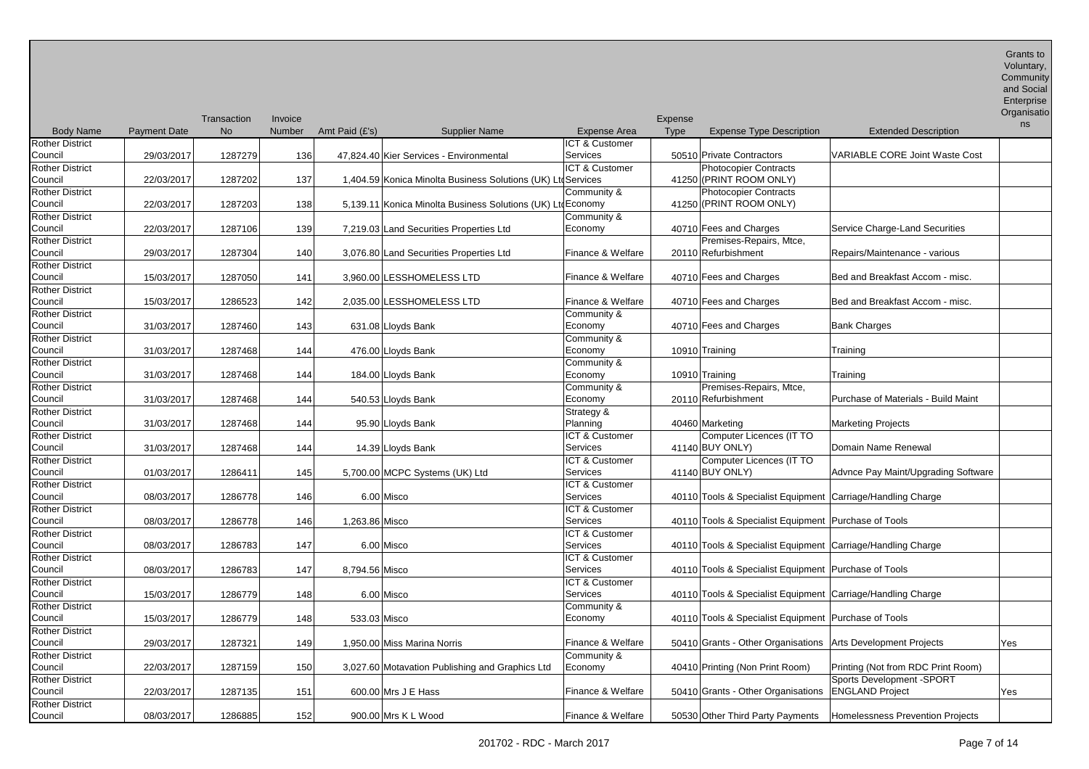Grants to Voluntary, **Community** 

|                        |                     | Transaction | Invoice |                |                                                              |                           | Expense     |                                                              |                                       | Organisatio<br>ns |
|------------------------|---------------------|-------------|---------|----------------|--------------------------------------------------------------|---------------------------|-------------|--------------------------------------------------------------|---------------------------------------|-------------------|
| <b>Body Name</b>       | <b>Payment Date</b> | <b>No</b>   | Number  | Amt Paid (£'s) | <b>Supplier Name</b>                                         | <b>Expense Area</b>       | <b>Type</b> | <b>Expense Type Description</b>                              | <b>Extended Description</b>           |                   |
| <b>Rother District</b> |                     |             |         |                |                                                              | <b>ICT &amp; Customer</b> |             |                                                              |                                       |                   |
| Council                | 29/03/2017          | 1287279     | 136     |                | 47,824.40 Kier Services - Environmental                      | Services                  |             | 50510 Private Contractors                                    | <b>VARIABLE CORE Joint Waste Cost</b> |                   |
| <b>Rother District</b> |                     |             |         |                |                                                              | ICT & Customer            |             | <b>Photocopier Contracts</b>                                 |                                       |                   |
| Council                | 22/03/2017          | 1287202     | 137     |                | 1,404.59 Konica Minolta Business Solutions (UK) Ltd Services |                           |             | 41250 (PRINT ROOM ONLY)                                      |                                       |                   |
| <b>Rother District</b> |                     |             |         |                |                                                              | Community &               |             | <b>Photocopier Contracts</b>                                 |                                       |                   |
| Council                | 22/03/2017          | 1287203     | 138     |                | 5,139.11 Konica Minolta Business Solutions (UK) Ltd Economy  |                           |             | 41250 (PRINT ROOM ONLY)                                      |                                       |                   |
| <b>Rother District</b> |                     |             |         |                |                                                              | Community &               |             |                                                              |                                       |                   |
| Council                | 22/03/2017          | 1287106     | 139     |                | 7,219.03 Land Securities Properties Ltd                      | Economy                   |             | 40710 Fees and Charges                                       | Service Charge-Land Securities        |                   |
| <b>Rother District</b> |                     |             |         |                |                                                              |                           |             | Premises-Repairs, Mtce,                                      |                                       |                   |
| Council                | 29/03/2017          | 1287304     | 140     |                | 3,076.80 Land Securities Properties Ltd                      | Finance & Welfare         |             | 20110 Refurbishment                                          | Repairs/Maintenance - various         |                   |
| <b>Rother District</b> |                     |             |         |                |                                                              |                           |             |                                                              |                                       |                   |
| Council                | 15/03/2017          | 1287050     | 141     |                | 3,960.00 LESSHOMELESS LTD                                    | Finance & Welfare         |             | 40710 Fees and Charges                                       | Bed and Breakfast Accom - misc.       |                   |
| <b>Rother District</b> |                     |             |         |                |                                                              |                           |             |                                                              |                                       |                   |
| Council                | 15/03/2017          | 1286523     | 142     |                | 2,035.00 LESSHOMELESS LTD                                    | Finance & Welfare         |             | 40710 Fees and Charges                                       | Bed and Breakfast Accom - misc.       |                   |
| <b>Rother District</b> |                     |             |         |                |                                                              | Community &               |             |                                                              |                                       |                   |
| Council                | 31/03/2017          | 1287460     | 143     |                | 631.08 Lloyds Bank                                           | Economy                   |             | 40710 Fees and Charges                                       | <b>Bank Charges</b>                   |                   |
| <b>Rother District</b> |                     |             |         |                |                                                              | Community &               |             |                                                              |                                       |                   |
| Council                | 31/03/2017          | 1287468     | 144     |                | 476.00 Lloyds Bank                                           | Economy                   |             | 10910 Training                                               | Training                              |                   |
| <b>Rother District</b> |                     |             |         |                |                                                              | Community &               |             |                                                              |                                       |                   |
| Council                | 31/03/2017          | 1287468     | 144     |                | 184.00 Lloyds Bank                                           | Economy                   |             | 10910 Training                                               | Training                              |                   |
| <b>Rother District</b> |                     |             |         |                |                                                              | Community &               |             | Premises-Repairs, Mtce,                                      |                                       |                   |
| Council                | 31/03/2017          | 1287468     | 144     |                | 540.53 Lloyds Bank                                           | Economy                   |             | 20110 Refurbishment                                          | Purchase of Materials - Build Maint   |                   |
| <b>Rother District</b> |                     |             |         |                |                                                              | Strategy &                |             |                                                              |                                       |                   |
| Council                | 31/03/2017          | 1287468     | 144     |                | 95.90 Lloyds Bank                                            | Planning                  |             | 40460 Marketing                                              | <b>Marketing Projects</b>             |                   |
| <b>Rother District</b> |                     |             |         |                |                                                              | <b>ICT &amp; Customer</b> |             | Computer Licences (IT TO                                     |                                       |                   |
| Council                | 31/03/2017          | 1287468     | 144     |                | 14.39 Lloyds Bank                                            | <b>Services</b>           |             | 41140 BUY ONLY)                                              | Domain Name Renewal                   |                   |
| <b>Rother District</b> |                     |             |         |                |                                                              | <b>ICT &amp; Customer</b> |             | Computer Licences (IT TO                                     |                                       |                   |
| Council                | 01/03/2017          | 1286411     | 145     |                | 5,700.00 MCPC Systems (UK) Ltd                               | Services                  |             | 41140 BUY ONLY)                                              | Advnce Pay Maint/Upgrading Software   |                   |
| <b>Rother District</b> |                     |             |         |                |                                                              | <b>ICT &amp; Customer</b> |             |                                                              |                                       |                   |
| Council                | 08/03/2017          | 1286778     | 146     |                | 6.00 Misco                                                   | Services                  |             | 40110 Tools & Specialist Equipment Carriage/Handling Charge  |                                       |                   |
| <b>Rother District</b> |                     |             |         |                |                                                              | ICT & Customer            |             |                                                              |                                       |                   |
| Council                | 08/03/2017          | 1286778     | 146     | 1,263.86 Misco |                                                              | Services                  |             | 40110 Tools & Specialist Equipment   Purchase of Tools       |                                       |                   |
| <b>Rother District</b> |                     |             |         |                |                                                              | <b>ICT &amp; Customer</b> |             |                                                              |                                       |                   |
| Council                | 08/03/2017          | 1286783     | 147     |                | 6.00 Misco                                                   | <b>Services</b>           |             | 40110 Tools & Specialist Equipment Carriage/Handling Charge  |                                       |                   |
| Rother District        |                     |             |         |                |                                                              | <b>ICT &amp; Customer</b> |             |                                                              |                                       |                   |
| Council                | 08/03/2017          | 1286783     | 147     | 8,794.56 Misco |                                                              | <b>Services</b>           |             | 40110 Tools & Specialist Equipment   Purchase of Tools       |                                       |                   |
| <b>Rother District</b> |                     |             |         |                |                                                              | ICT & Customer            |             |                                                              |                                       |                   |
| Council                | 15/03/2017          | 1286779     | 148     |                | 6.00 Misco                                                   | Services                  |             | 40110 Tools & Specialist Equipment Carriage/Handling Charge  |                                       |                   |
| <b>Rother District</b> |                     |             |         |                |                                                              |                           |             |                                                              |                                       |                   |
| Council                |                     |             |         |                |                                                              | Community &               |             | 40110 Tools & Specialist Equipment Purchase of Tools         |                                       |                   |
|                        | 15/03/2017          | 1286779     | 148     | 533.03 Misco   |                                                              | Economy                   |             |                                                              |                                       |                   |
| <b>Rother District</b> |                     |             |         |                |                                                              |                           |             |                                                              |                                       |                   |
| Council                | 29/03/2017          | 1287321     | 149     |                | 1,950.00 Miss Marina Norris                                  | Finance & Welfare         |             | 50410 Grants - Other Organisations Arts Development Projects |                                       | Yes               |
| <b>Rother District</b> |                     |             |         |                |                                                              | Community &               |             |                                                              |                                       |                   |

Council 22/03/2017 1287135 151 600.00 Mrs J E Hass Finance & Welfare 50410 Grants - Other Organisations ENGLAND Project Yes

Council 168/03/2017 1286885 152 900.00 Mrs K L Wood Finance & Welfare 50530 Other Third Party Payments Homelessness Prevention Projects

Council 22/03/2017 1287159 150 3,027.60 Motavation Publishing and Graphics Ltd

Rother District

Rother District

Rother District

Rother District

Rother District

Rother District

Rother District

Rother District

Rother District

Rother District

Rother District

Rother District

Rother District

Rother District

Rother District

Rother District

Rother District<br>Council

Rother District

Rother District

Rother District

Rother District

600.00 Mrs J E Hass

900.00 Mrs K L Wood

Sports Development -SPORT

Economy 10410 Printing (Non Print Room) Printing (Not from RDC Print Room)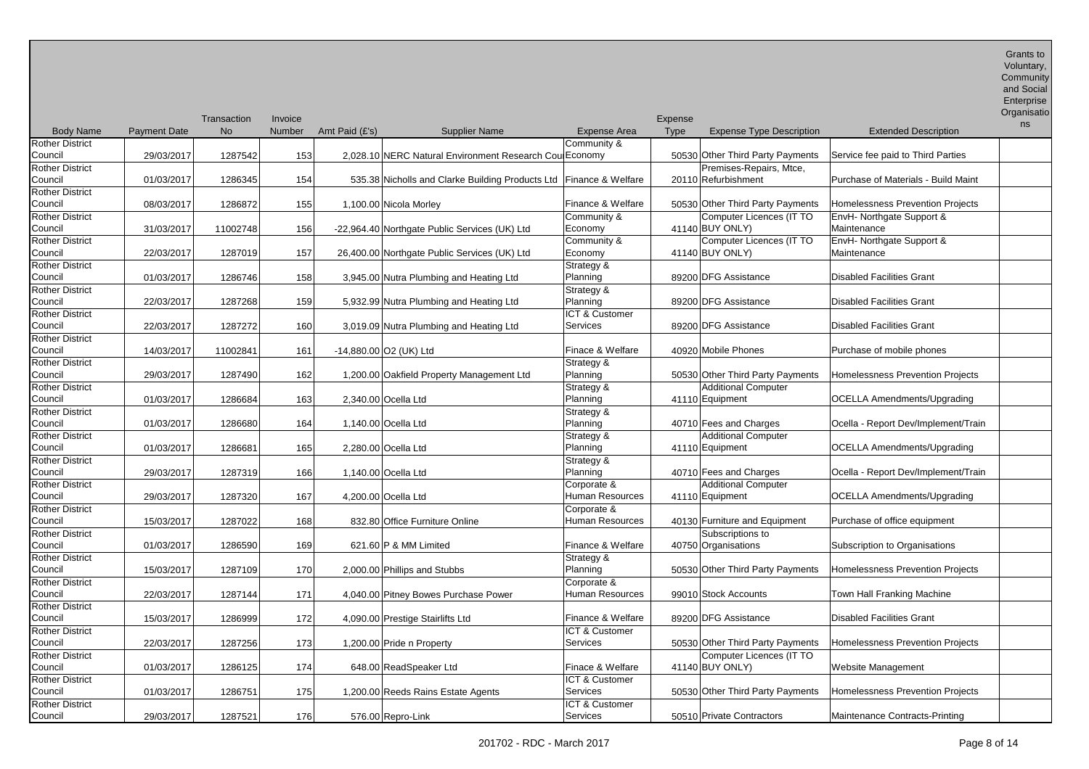| Enterprise<br>Organisatio |
|---------------------------|

|                        |                     | Transaction | Invoice       |                                                                    |                   | Expense |                                  |                                     | ns |
|------------------------|---------------------|-------------|---------------|--------------------------------------------------------------------|-------------------|---------|----------------------------------|-------------------------------------|----|
| <b>Body Name</b>       | <b>Payment Date</b> | <b>No</b>   | <b>Number</b> | Amt Paid (£'s)<br><b>Supplier Name</b>                             | Expense Area      | Type    | <b>Expense Type Description</b>  | <b>Extended Description</b>         |    |
| <b>Rother District</b> |                     |             |               |                                                                    | Community &       |         |                                  |                                     |    |
| Council                | 29/03/2017          | 1287542     | 153           | 2,028.10 NERC Natural Environment Research Cou Economy             |                   |         | 50530 Other Third Party Payments | Service fee paid to Third Parties   |    |
| <b>Rother District</b> |                     |             |               |                                                                    |                   |         | Premises-Repairs, Mtce,          |                                     |    |
| Council                | 01/03/2017          | 1286345     | 154           | 535.38 Nicholls and Clarke Building Products Ltd Finance & Welfare |                   |         | 20110 Refurbishment              | Purchase of Materials - Build Maint |    |
| <b>Rother District</b> |                     |             |               |                                                                    |                   |         |                                  |                                     |    |
| Council                | 08/03/2017          | 1286872     | 155           | 1,100.00 Nicola Morley                                             | Finance & Welfare |         | 50530 Other Third Party Payments | Homelessness Prevention Projects    |    |
| <b>Rother District</b> |                     |             |               |                                                                    | Community &       |         | Computer Licences (IT TO         | EnvH- Northgate Support &           |    |
| Council                | 31/03/2017          | 11002748    | 156           | -22,964.40 Northgate Public Services (UK) Ltd                      | Economy           |         | 41140 BUY ONLY)                  | Maintenance                         |    |
| <b>Rother District</b> |                     |             |               |                                                                    | Community &       |         | Computer Licences (IT TO         | EnvH- Northgate Support &           |    |
| Council                | 22/03/2017          | 1287019     | 157           | 26,400.00 Northgate Public Services (UK) Ltd                       | Economy           |         | 41140 BUY ONLY)                  | Maintenance                         |    |
| <b>Rother District</b> |                     |             |               |                                                                    | Strategy &        |         |                                  |                                     |    |
| Council                | 01/03/2017          | 1286746     | 158           | 3,945.00 Nutra Plumbing and Heating Ltd                            | Planning          |         | 89200 DFG Assistance             | <b>Disabled Facilities Grant</b>    |    |
| <b>Rother District</b> |                     |             |               |                                                                    | Strategy &        |         |                                  |                                     |    |
| Council                | 22/03/2017          | 1287268     | 159           | 5,932.99 Nutra Plumbing and Heating Ltd                            | Planning          |         | 89200 DFG Assistance             | <b>Disabled Facilities Grant</b>    |    |
| <b>Rother District</b> |                     |             |               |                                                                    | ICT & Customer    |         |                                  |                                     |    |
| Council                | 22/03/2017          | 1287272     | 160           | 3,019.09 Nutra Plumbing and Heating Ltd                            | Services          |         | 89200 DFG Assistance             | <b>Disabled Facilities Grant</b>    |    |
| <b>Rother District</b> |                     |             |               |                                                                    |                   |         |                                  |                                     |    |
| Council                | 14/03/2017          | 11002841    | 161           | $-14,880.00$ O2 (UK) Ltd                                           | Finace & Welfare  |         | 40920 Mobile Phones              | Purchase of mobile phones           |    |
| <b>Rother District</b> |                     |             |               |                                                                    | Strategy &        |         |                                  |                                     |    |
| Council                | 29/03/2017          | 1287490     | 162           | 1,200.00 Oakfield Property Management Ltd                          | Planning          |         | 50530 Other Third Party Payments | Homelessness Prevention Projects    |    |
| <b>Rother District</b> |                     |             |               |                                                                    | Strategy &        |         | <b>Additional Computer</b>       |                                     |    |
| Council                | 01/03/2017          | 1286684     | 163           | 2,340.00 Ocella Ltd                                                | Planning          |         | 41110 Equipment                  | <b>OCELLA Amendments/Upgrading</b>  |    |
| <b>Rother District</b> |                     |             |               |                                                                    | Strategy &        |         |                                  |                                     |    |
| Council                | 01/03/2017          | 1286680     | 164           | 1,140.00 Ocella Ltd                                                | Planning          |         | 40710 Fees and Charges           | Ocella - Report Dev/Implement/Train |    |
| <b>Rother District</b> |                     |             |               |                                                                    | Strategy &        |         | <b>Additional Computer</b>       |                                     |    |
| Council                | 01/03/2017          | 1286681     | 165           | 2,280.00 Ocella Ltd                                                | Planning          |         | 41110 Equipment                  | <b>OCELLA Amendments/Upgrading</b>  |    |
| <b>Rother District</b> |                     |             |               |                                                                    | Strategy &        |         |                                  |                                     |    |
| Council                | 29/03/2017          | 1287319     | 166           | 1,140.00 Ocella Ltd                                                | Planning          |         | 40710 Fees and Charges           | Ocella - Report Dev/Implement/Train |    |
| Rother District        |                     |             |               |                                                                    | Corporate &       |         | <b>Additional Computer</b>       |                                     |    |
| Council                | 29/03/2017          | 1287320     | 167           | 4,200.00 Ocella Ltd                                                | Human Resources   |         | 41110 Equipment                  | <b>OCELLA Amendments/Upgrading</b>  |    |
| <b>Rother District</b> |                     |             |               |                                                                    | Corporate &       |         |                                  |                                     |    |
| Council                | 15/03/2017          | 1287022     | 168           | 832.80 Office Furniture Online                                     | Human Resources   |         | 40130 Furniture and Equipment    | Purchase of office equipment        |    |
| <b>Rother District</b> |                     |             |               |                                                                    |                   |         | Subscriptions to                 |                                     |    |
| Council                | 01/03/2017          | 1286590     | 169           | 621.60 P & MM Limited                                              | Finance & Welfare |         | 40750 Organisations              | Subscription to Organisations       |    |
| <b>Rother District</b> |                     |             |               |                                                                    | Strategy &        |         |                                  |                                     |    |
| Council                | 15/03/2017          | 1287109     | 170           | 2,000.00 Phillips and Stubbs                                       | Planning          |         | 50530 Other Third Party Payments | Homelessness Prevention Projects    |    |
| <b>Rother District</b> |                     |             |               |                                                                    | Corporate &       |         |                                  |                                     |    |
| Council                | 22/03/2017          | 1287144     | 171           | 4,040.00 Pitney Bowes Purchase Power                               | Human Resources   |         | 99010 Stock Accounts             | Town Hall Franking Machine          |    |
| <b>Rother District</b> |                     |             |               |                                                                    |                   |         |                                  |                                     |    |
| Council                | 15/03/2017          | 1286999     | 172           | 4,090.00 Prestige Stairlifts Ltd                                   | Finance & Welfare |         | 89200 DFG Assistance             | <b>Disabled Facilities Grant</b>    |    |
| <b>Rother District</b> |                     |             |               |                                                                    | ICT & Customer    |         |                                  |                                     |    |
| Council                | 22/03/2017          | 1287256     | 173           | 1,200.00 Pride n Property                                          | Services          |         | 50530 Other Third Party Payments | Homelessness Prevention Projects    |    |
| <b>Rother District</b> |                     |             |               |                                                                    |                   |         | Computer Licences (IT TO         |                                     |    |
| Council                | 01/03/2017          | 1286125     | 174           | 648.00 ReadSpeaker Ltd                                             | Finace & Welfare  |         | 41140 BUY ONLY)                  | Website Management                  |    |
| <b>Rother District</b> |                     |             |               |                                                                    | ICT & Customer    |         |                                  |                                     |    |
| Council                | 01/03/2017          | 1286751     | 175           | 1,200.00 Reeds Rains Estate Agents                                 | Services          |         | 50530 Other Third Party Payments | Homelessness Prevention Projects    |    |
| <b>Rother District</b> |                     |             |               |                                                                    | ICT & Customer    |         |                                  |                                     |    |
| Council                | 29/03/2017          | 1287521     | 176           | 576.00 Repro-Link                                                  | Services          |         | 50510 Private Contractors        | Maintenance Contracts-Printing      |    |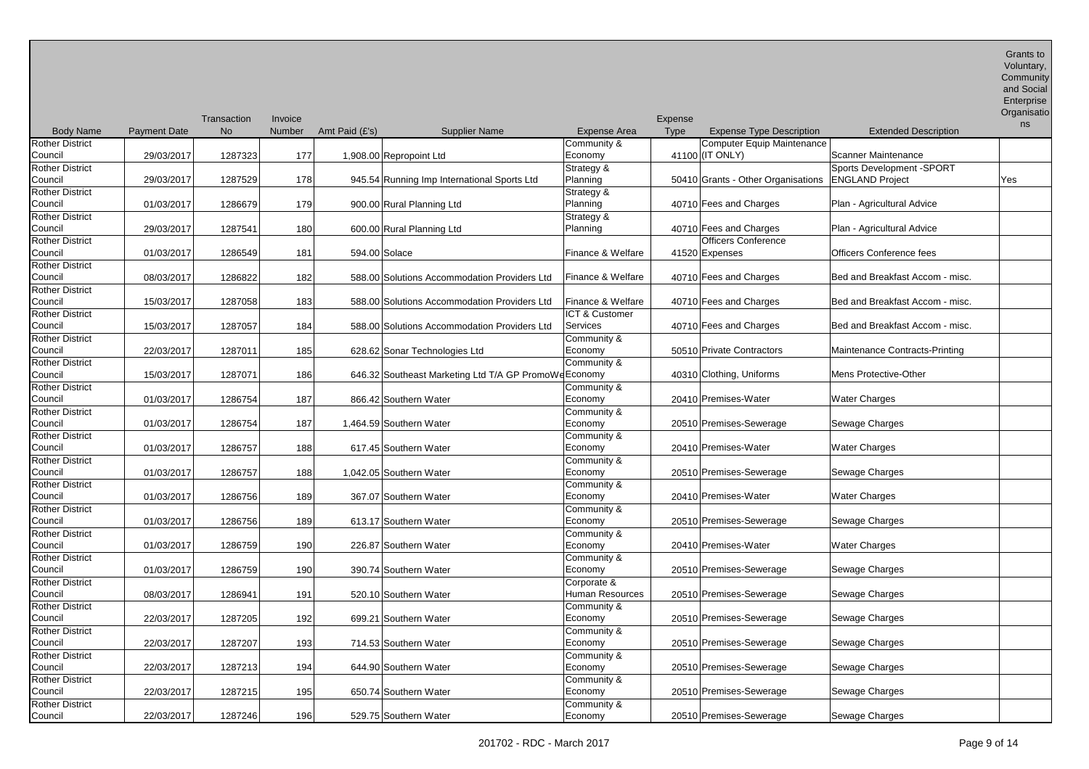| and Social |
|------------|
| Enterprise |

|                        |                     |                          |                   |                |                                                       |                     |                               |                                    |                                 | Organisatio |
|------------------------|---------------------|--------------------------|-------------------|----------------|-------------------------------------------------------|---------------------|-------------------------------|------------------------------------|---------------------------------|-------------|
| <b>Body Name</b>       | <b>Payment Date</b> | Transaction<br><b>No</b> | Invoice<br>Number | Amt Paid (£'s) | <b>Supplier Name</b>                                  | <b>Expense Area</b> | <b>Expense</b><br><b>Type</b> | <b>Expense Type Description</b>    | <b>Extended Description</b>     | ns          |
| <b>Rother District</b> |                     |                          |                   |                |                                                       | Community &         |                               | Computer Equip Maintenance         |                                 |             |
| Council                | 29/03/2017          | 1287323                  | 177               |                | 1,908.00 Repropoint Ltd                               | Economy             |                               | 41100 (IT ONLY)                    | Scanner Maintenance             |             |
| <b>Rother District</b> |                     |                          |                   |                |                                                       |                     |                               |                                    | Sports Development -SPORT       |             |
|                        |                     |                          |                   |                |                                                       | Strategy &          |                               | 50410 Grants - Other Organisations | <b>ENGLAND Project</b>          |             |
| Council                | 29/03/2017          | 1287529                  | 178               |                | 945.54 Running Imp International Sports Ltd           | Planning            |                               |                                    |                                 | Yes         |
| <b>Rother District</b> |                     |                          |                   |                |                                                       | Strategy &          |                               |                                    |                                 |             |
| Council                | 01/03/2017          | 1286679                  | 179               |                | 900.00 Rural Planning Ltd                             | Planning            |                               | 40710 Fees and Charges             | Plan - Agricultural Advice      |             |
| <b>Rother District</b> |                     |                          |                   |                |                                                       | Strategy &          |                               |                                    |                                 |             |
| Council                | 29/03/2017          | 1287541                  | 180               |                | 600.00 Rural Planning Ltd                             | Planning            |                               | 40710 Fees and Charges             | Plan - Agricultural Advice      |             |
| <b>Rother District</b> |                     |                          |                   |                |                                                       |                     |                               | <b>Officers Conference</b>         |                                 |             |
| Council                | 01/03/2017          | 1286549                  | 181               |                | 594.00 Solace                                         | Finance & Welfare   |                               | 41520 Expenses                     | Officers Conference fees        |             |
| <b>Rother District</b> |                     |                          |                   |                |                                                       |                     |                               |                                    |                                 |             |
| Council                | 08/03/2017          | 1286822                  | 182               |                | 588.00 Solutions Accommodation Providers Ltd          | Finance & Welfare   |                               | 40710 Fees and Charges             | Bed and Breakfast Accom - misc. |             |
| <b>Rother District</b> |                     |                          |                   |                |                                                       |                     |                               |                                    |                                 |             |
| Council                | 15/03/2017          | 1287058                  | 183               |                | 588.00 Solutions Accommodation Providers Ltd          | Finance & Welfare   |                               | 40710 Fees and Charges             | Bed and Breakfast Accom - misc. |             |
| <b>Rother District</b> |                     |                          |                   |                |                                                       | ICT & Customer      |                               |                                    |                                 |             |
| Council                | 15/03/2017          | 1287057                  | 184               |                | 588.00 Solutions Accommodation Providers Ltd          | Services            |                               | 40710 Fees and Charges             | Bed and Breakfast Accom - misc. |             |
| <b>Rother District</b> |                     |                          |                   |                |                                                       | Community &         |                               |                                    |                                 |             |
| Council                | 22/03/2017          | 1287011                  | 185               |                | 628.62 Sonar Technologies Ltd                         | Economy             |                               | 50510 Private Contractors          | Maintenance Contracts-Printing  |             |
| <b>Rother District</b> |                     |                          |                   |                |                                                       | Community &         |                               |                                    |                                 |             |
| Council                | 15/03/2017          | 1287071                  | 186               |                | 646.32 Southeast Marketing Ltd T/A GP PromoWe Economy |                     |                               | 40310 Clothing, Uniforms           | Mens Protective-Other           |             |
| <b>Rother District</b> |                     |                          |                   |                |                                                       | Community &         |                               |                                    |                                 |             |
| Council                | 01/03/2017          | 1286754                  | 187               |                | 866.42 Southern Water                                 | Economy             |                               | 20410 Premises-Water               | Water Charges                   |             |
| <b>Rother District</b> |                     |                          |                   |                |                                                       | Community &         |                               |                                    |                                 |             |
| Council                | 01/03/2017          | 1286754                  | 187               |                | 1,464.59 Southern Water                               | Economy             |                               | 20510 Premises-Sewerage            | Sewage Charges                  |             |
| <b>Rother District</b> |                     |                          |                   |                |                                                       | Community &         |                               |                                    |                                 |             |
| Council                | 01/03/2017          | 1286757                  | 188               |                | 617.45 Southern Water                                 | Economy             |                               | 20410 Premises-Water               | Water Charges                   |             |
| <b>Rother District</b> |                     |                          |                   |                |                                                       | Community &         |                               |                                    |                                 |             |
| Council                | 01/03/2017          | 1286757                  | 188               |                | 1,042.05 Southern Water                               | Economy             |                               | 20510 Premises-Sewerage            | Sewage Charges                  |             |
| <b>Rother District</b> |                     |                          |                   |                |                                                       | Community &         |                               |                                    |                                 |             |
| Council                | 01/03/2017          | 1286756                  | 189               |                | 367.07 Southern Water                                 | Economy             |                               | 20410 Premises-Water               | <b>Water Charges</b>            |             |
| <b>Rother District</b> |                     |                          |                   |                |                                                       | Community &         |                               |                                    |                                 |             |
| Council                | 01/03/2017          | 1286756                  | 189               |                | 613.17 Southern Water                                 | Economy             |                               | 20510 Premises-Sewerage            | Sewage Charges                  |             |
| <b>Rother District</b> |                     |                          |                   |                |                                                       | Community &         |                               |                                    |                                 |             |
| Council                | 01/03/2017          | 1286759                  | 190               |                | 226.87 Southern Water                                 | Economy             |                               | 20410 Premises-Water               | Water Charges                   |             |
| <b>Rother District</b> |                     |                          |                   |                |                                                       | Community &         |                               |                                    |                                 |             |
| Council                | 01/03/2017          | 1286759                  | 190               |                | 390.74 Southern Water                                 | Economy             |                               | 20510 Premises-Sewerage            | Sewage Charges                  |             |
| <b>Rother District</b> |                     |                          |                   |                |                                                       | Corporate &         |                               |                                    |                                 |             |
| Council                | 08/03/2017          | 1286941                  | 191               |                | 520.10 Southern Water                                 | Human Resources     |                               | 20510 Premises-Sewerage            | Sewage Charges                  |             |
| <b>Rother District</b> |                     |                          |                   |                |                                                       | Community &         |                               |                                    |                                 |             |
| Council                | 22/03/2017          | 1287205                  | 192               |                | 699.21 Southern Water                                 | Economy             |                               | 20510 Premises-Sewerage            | Sewage Charges                  |             |
| <b>Rother District</b> |                     |                          |                   |                |                                                       | Community &         |                               |                                    |                                 |             |
| Council                | 22/03/2017          | 1287207                  | 193               |                | 714.53 Southern Water                                 | Economy             |                               | 20510 Premises-Sewerage            | Sewage Charges                  |             |
| <b>Rother District</b> |                     |                          |                   |                |                                                       | Community &         |                               |                                    |                                 |             |
| Council                | 22/03/2017          | 1287213                  | 194               |                | 644.90 Southern Water                                 | Economy             |                               | 20510 Premises-Sewerage            | Sewage Charges                  |             |
| <b>Rother District</b> |                     |                          |                   |                |                                                       | Community &         |                               |                                    |                                 |             |
| Council                |                     |                          |                   |                |                                                       | Economy             |                               | 20510 Premises-Sewerage            |                                 |             |
| <b>Rother District</b> | 22/03/2017          | 1287215                  | 195               |                | 650.74 Southern Water                                 |                     |                               |                                    | Sewage Charges                  |             |
| Council                |                     |                          |                   |                |                                                       | Community &         |                               | 20510 Premises-Sewerage            |                                 |             |
|                        | 22/03/2017          | 1287246                  | 196               |                | 529.75 Southern Water                                 | Economy             |                               |                                    | Sewage Charges                  |             |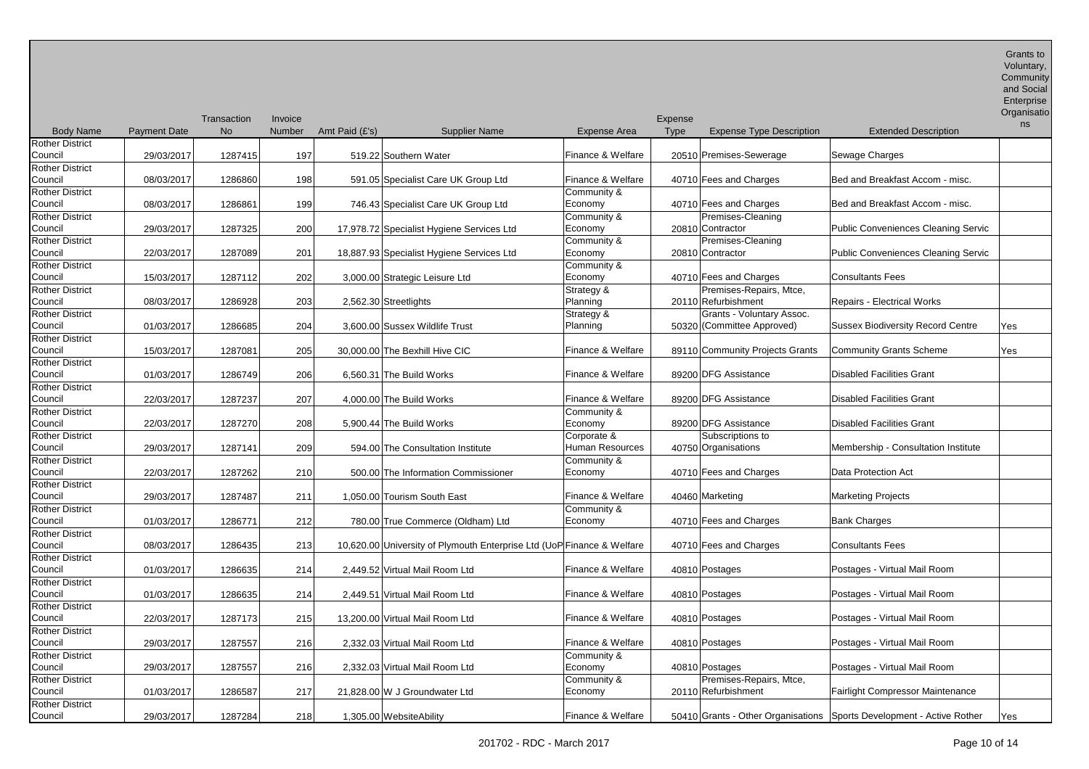| <b>Body Name</b>                  | <b>Payment Date</b> | Transaction<br><b>No</b> | Invoice<br>Number | Amt Paid (£'s) | <b>Supplier Name</b>                                                   | <b>Expense Area</b>            | Expense<br><b>Type</b><br><b>Expense Type Description</b>             | <b>Extended Description</b>                | Organisatio<br>ns |
|-----------------------------------|---------------------|--------------------------|-------------------|----------------|------------------------------------------------------------------------|--------------------------------|-----------------------------------------------------------------------|--------------------------------------------|-------------------|
| <b>Rother District</b><br>Council | 29/03/2017          | 1287415                  | 197               |                | 519.22 Southern Water                                                  | Finance & Welfare              | 20510 Premises-Sewerage                                               | Sewage Charges                             |                   |
| <b>Rother District</b><br>Council | 08/03/2017          | 1286860                  | 198               |                | 591.05 Specialist Care UK Group Ltd                                    | Finance & Welfare              | 40710 Fees and Charges                                                | Bed and Breakfast Accom - misc.            |                   |
| <b>Rother District</b><br>Council | 08/03/2017          | 1286861                  | 199               |                | 746.43 Specialist Care UK Group Ltd                                    | Community &<br>Economy         | 40710 Fees and Charges                                                | Bed and Breakfast Accom - misc.            |                   |
| <b>Rother District</b><br>Council | 29/03/2017          | 1287325                  | 200               |                | 17,978.72 Specialist Hygiene Services Ltd                              | Community &<br>Economy         | Premises-Cleaning<br>20810 Contractor                                 | <b>Public Conveniences Cleaning Servic</b> |                   |
| <b>Rother District</b><br>Council | 22/03/2017          | 1287089                  | 201               |                | 18,887.93 Specialist Hygiene Services Ltd                              | Community &<br>Economy         | Premises-Cleaning<br>20810 Contractor                                 | <b>Public Conveniences Cleaning Servic</b> |                   |
| <b>Rother District</b><br>Council | 15/03/2017          | 1287112                  | 202               |                | 3,000.00 Strategic Leisure Ltd                                         | Community &<br>Economy         | 40710 Fees and Charges                                                | <b>Consultants Fees</b>                    |                   |
| <b>Rother District</b><br>Council | 08/03/2017          | 1286928                  | 203               |                | 2,562.30 Streetlights                                                  | Strategy &<br>Planning         | Premises-Repairs, Mtce,<br>20110 Refurbishment                        | <b>Repairs - Electrical Works</b>          |                   |
| <b>Rother District</b><br>Council | 01/03/2017          | 1286685                  | 204               |                | 3,600.00 Sussex Wildlife Trust                                         | Strategy &<br>Planning         | Grants - Voluntary Assoc.<br>50320 (Committee Approved)               | <b>Sussex Biodiversity Record Centre</b>   | Yes               |
| <b>Rother District</b><br>Council | 15/03/2017          | 1287081                  | 205               |                | 30,000.00 The Bexhill Hive CIC                                         | Finance & Welfare              | 89110 Community Projects Grants                                       | <b>Community Grants Scheme</b>             | Yes               |
| <b>Rother District</b><br>Council | 01/03/2017          | 1286749                  | 206               |                | 6,560.31 The Build Works                                               | Finance & Welfare              | 89200 DFG Assistance                                                  | <b>Disabled Facilities Grant</b>           |                   |
| <b>Rother District</b><br>Council | 22/03/2017          | 1287237                  | 207               |                | 4,000.00 The Build Works                                               | Finance & Welfare              | 89200 DFG Assistance                                                  | <b>Disabled Facilities Grant</b>           |                   |
| <b>Rother District</b><br>Council | 22/03/2017          | 1287270                  | 208               |                | 5,900.44 The Build Works                                               | Community &<br>Economy         | 89200 DFG Assistance                                                  | <b>Disabled Facilities Grant</b>           |                   |
| <b>Rother District</b><br>Council | 29/03/2017          | 1287141                  | 209               |                | 594.00 The Consultation Institute                                      | Corporate &<br>Human Resources | Subscriptions to<br>40750 Organisations                               | Membership - Consultation Institute        |                   |
| <b>Rother District</b><br>Council | 22/03/2017          | 1287262                  | 210               |                | 500.00 The Information Commissioner                                    | Community &<br>Economy         | 40710 Fees and Charges                                                | Data Protection Act                        |                   |
| <b>Rother District</b><br>Council | 29/03/2017          | 1287487                  | 211               |                | 1,050.00 Tourism South East                                            | Finance & Welfare              | 40460 Marketing                                                       | <b>Marketing Projects</b>                  |                   |
| <b>Rother District</b><br>Council | 01/03/2017          | 1286771                  | 212               |                | 780.00 True Commerce (Oldham) Ltd                                      | Community &<br>Economy         | 40710 Fees and Charges                                                | <b>Bank Charges</b>                        |                   |
| <b>Rother District</b><br>Council | 08/03/2017          | 1286435                  | 213               |                | 10,620.00 University of Plymouth Enterprise Ltd (UoP Finance & Welfare |                                | 40710 Fees and Charges                                                | <b>Consultants Fees</b>                    |                   |
| Rother District<br>Council        | 01/03/2017          | 1286635                  | 214               |                | 2,449.52 Virtual Mail Room Ltd                                         | Finance & Welfare              | 40810 Postages                                                        | Postages - Virtual Mail Room               |                   |
| <b>Rother District</b><br>Council | 01/03/2017          | 1286635                  | 214               |                | 2,449.51 Virtual Mail Room Ltd                                         | Finance & Welfare              | 40810 Postages                                                        | Postages - Virtual Mail Room               |                   |
| <b>Rother District</b><br>Council | 22/03/2017          | 1287173                  | 215               |                | 13,200.00 Virtual Mail Room Ltd                                        | Finance & Welfare              | 40810 Postages                                                        | Postages - Virtual Mail Room               |                   |
| <b>Rother District</b><br>Council | 29/03/2017          | 1287557                  | 216               |                | 2,332.03 Virtual Mail Room Ltd                                         | Finance & Welfare              | 40810 Postages                                                        | Postages - Virtual Mail Room               |                   |
| <b>Rother District</b><br>Council | 29/03/2017          | 1287557                  | 216               |                | 2,332.03 Virtual Mail Room Ltd                                         | Community &<br>Economy         | 40810 Postages                                                        | Postages - Virtual Mail Room               |                   |
| <b>Rother District</b><br>Council | 01/03/2017          | 1286587                  | 217               |                | 21,828.00 W J Groundwater Ltd                                          | Community &<br>Economy         | Premises-Repairs, Mtce,<br>20110 Refurbishment                        | Fairlight Compressor Maintenance           |                   |
| <b>Rother District</b><br>Council | 29/03/2017          | 1287284                  | 218               |                | 1,305.00 WebsiteAbility                                                | Finance & Welfare              | 50410 Grants - Other Organisations Sports Development - Active Rother |                                            | Yes               |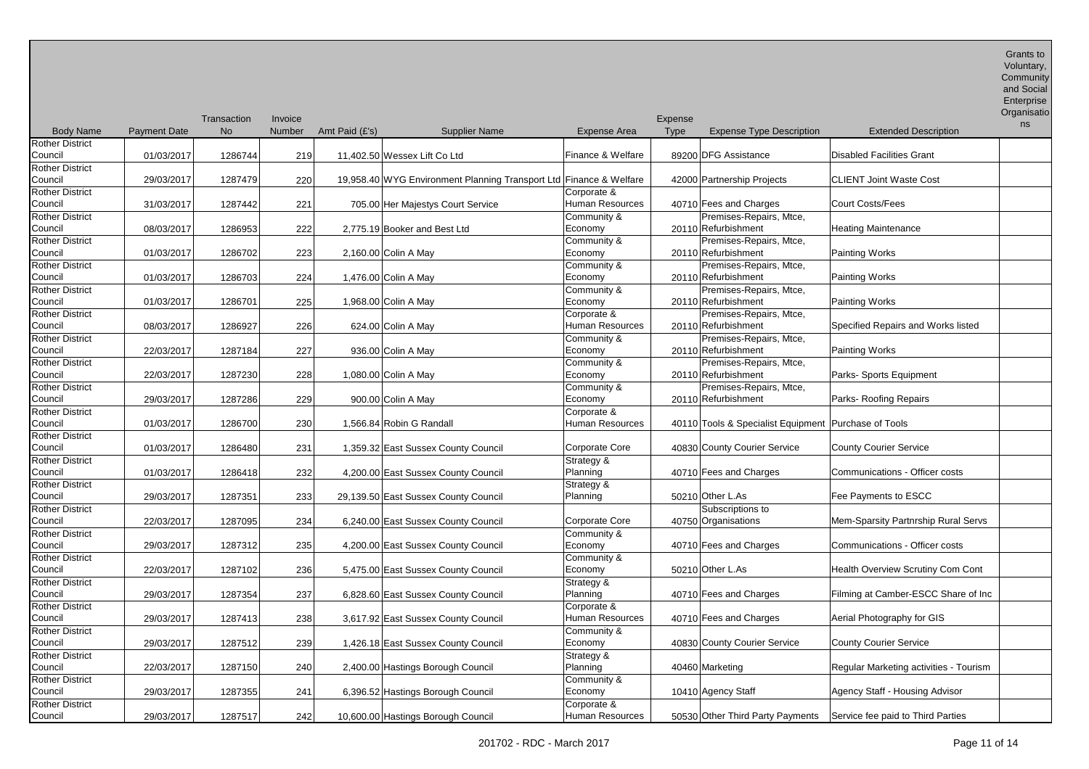| Enterprise |
|------------|
|            |

| <b>Body Name</b>                  | <b>Payment Date</b> | Transaction<br><b>No</b> | Invoice<br>Number | Amt Paid (£'s)               | <b>Supplier Name</b>                                               | <b>Expense Area</b>            | Expense<br><b>Type</b> | <b>Expense Type Description</b>                        | <b>Extended Description</b>            | Organisatio<br>ns |
|-----------------------------------|---------------------|--------------------------|-------------------|------------------------------|--------------------------------------------------------------------|--------------------------------|------------------------|--------------------------------------------------------|----------------------------------------|-------------------|
| <b>Rother District</b>            |                     |                          |                   |                              |                                                                    |                                |                        | 89200 DFG Assistance                                   |                                        |                   |
| Council                           | 01/03/2017          | 1286744                  | 219               | 11,402.50 Wessex Lift Co Ltd |                                                                    | Finance & Welfare              |                        |                                                        | <b>Disabled Facilities Grant</b>       |                   |
| <b>Rother District</b><br>Council | 29/03/2017          | 1287479                  | 220               |                              | 19,958.40 WYG Environment Planning Transport Ltd Finance & Welfare |                                |                        | 42000 Partnership Projects                             | <b>CLIENT Joint Waste Cost</b>         |                   |
| <b>Rother District</b><br>Council | 31/03/2017          | 1287442                  | 221               |                              | 705.00 Her Majestys Court Service                                  | Corporate &<br>Human Resources |                        | 40710 Fees and Charges                                 | <b>Court Costs/Fees</b>                |                   |
| <b>Rother District</b>            |                     |                          |                   |                              |                                                                    | Community &                    |                        | Premises-Repairs, Mtce,                                |                                        |                   |
| Council                           | 08/03/2017          | 1286953                  | 222               | 2,775.19 Booker and Best Ltd |                                                                    | Economy                        |                        | 20110 Refurbishment                                    | <b>Heating Maintenance</b>             |                   |
| <b>Rother District</b>            |                     |                          |                   |                              |                                                                    | Community &                    |                        | Premises-Repairs, Mtce,                                |                                        |                   |
| Council                           | 01/03/2017          | 1286702                  | 223               | 2,160.00 Colin A May         |                                                                    | Economy                        |                        | 20110 Refurbishment                                    | Painting Works                         |                   |
| <b>Rother District</b>            |                     |                          |                   |                              |                                                                    | Community &                    |                        | Premises-Repairs, Mtce,                                |                                        |                   |
| Council                           | 01/03/2017          | 1286703                  | 224               | 1,476.00 Colin A May         |                                                                    | Economy                        |                        | 20110 Refurbishment                                    | <b>Painting Works</b>                  |                   |
| <b>Rother District</b>            |                     |                          |                   |                              |                                                                    | Community &                    |                        | Premises-Repairs, Mtce,                                |                                        |                   |
| Council                           | 01/03/2017          | 1286701                  | 225               | 1,968.00 Colin A May         |                                                                    | Economy                        |                        | 20110 Refurbishment                                    | <b>Painting Works</b>                  |                   |
| <b>Rother District</b>            |                     |                          |                   |                              |                                                                    | Corporate &                    |                        | Premises-Repairs, Mtce,                                |                                        |                   |
| Council                           | 08/03/2017          | 1286927                  | 226               | 624.00 Colin A May           |                                                                    | <b>Human Resources</b>         |                        | 20110 Refurbishment                                    | Specified Repairs and Works listed     |                   |
| <b>Rother District</b>            |                     |                          |                   |                              |                                                                    | Community &                    |                        | Premises-Repairs, Mtce,                                |                                        |                   |
| Council                           | 22/03/2017          | 1287184                  | 227               | 936.00 Colin A May           |                                                                    | Economy                        |                        | 20110 Refurbishment                                    | Painting Works                         |                   |
| <b>Rother District</b>            |                     |                          |                   |                              |                                                                    | Community &                    |                        | Premises-Repairs, Mtce,                                |                                        |                   |
| Council                           | 22/03/2017          | 1287230                  | 228               | 1,080.00 Colin A May         |                                                                    | Economy                        |                        | 20110 Refurbishment                                    | Parks- Sports Equipment                |                   |
| <b>Rother District</b>            |                     |                          |                   |                              |                                                                    | Community &                    |                        | Premises-Repairs, Mtce,                                |                                        |                   |
| Council                           | 29/03/2017          | 1287286                  | 229               | 900.00 Colin A May           |                                                                    | Economy                        |                        | 20110 Refurbishment                                    | Parks-Roofing Repairs                  |                   |
| <b>Rother District</b>            |                     |                          |                   |                              |                                                                    | Corporate &                    |                        |                                                        |                                        |                   |
| Council                           | 01/03/2017          | 1286700                  | 230               | 1,566.84 Robin G Randall     |                                                                    | <b>Human Resources</b>         |                        | 40110 Tools & Specialist Equipment   Purchase of Tools |                                        |                   |
| <b>Rother District</b>            |                     |                          |                   |                              |                                                                    |                                |                        |                                                        |                                        |                   |
| Council                           | 01/03/2017          | 1286480                  | 231               |                              | 1,359.32 East Sussex County Council                                | Corporate Core                 |                        | 40830 County Courier Service                           | <b>County Courier Service</b>          |                   |
| <b>Rother District</b>            |                     |                          |                   |                              |                                                                    | Strategy &                     |                        |                                                        |                                        |                   |
| Council                           | 01/03/2017          | 1286418                  | 232               |                              | 4,200.00 East Sussex County Council                                | Planning                       |                        | 40710 Fees and Charges                                 | Communications - Officer costs         |                   |
| <b>Rother District</b>            |                     |                          |                   |                              |                                                                    | Strategy &                     |                        |                                                        |                                        |                   |
| Council                           | 29/03/2017          | 1287351                  | 233               |                              | 29,139.50 East Sussex County Council                               | Planning                       |                        | 50210 Other L.As                                       | Fee Payments to ESCC                   |                   |
| <b>Rother District</b>            |                     |                          |                   |                              |                                                                    |                                |                        | Subscriptions to                                       |                                        |                   |
| Council                           | 22/03/2017          | 1287095                  | 234               |                              | 6,240.00 East Sussex County Council                                | Corporate Core                 |                        | 40750 Organisations                                    | Mem-Sparsity Partnrship Rural Servs    |                   |
| <b>Rother District</b>            |                     |                          |                   |                              |                                                                    | Community &                    |                        |                                                        |                                        |                   |
| Council                           | 29/03/2017          | 1287312                  | 235               |                              | 4,200.00 East Sussex County Council                                | Economy                        |                        | 40710 Fees and Charges                                 | Communications - Officer costs         |                   |
| <b>Rother District</b>            |                     |                          |                   |                              |                                                                    | Community &                    |                        |                                                        |                                        |                   |
| Council                           | 22/03/2017          | 1287102                  | 236               |                              | 5,475.00 East Sussex County Council                                | Economy                        |                        | 50210 Other L.As                                       | Health Overview Scrutiny Com Cont      |                   |
| <b>Rother District</b>            |                     |                          |                   |                              |                                                                    | Strategy &                     |                        |                                                        |                                        |                   |
| Council                           | 29/03/2017          | 1287354                  | 237               |                              | 6,828.60 East Sussex County Council                                | Planning                       |                        | 40710 Fees and Charges                                 | Filming at Camber-ESCC Share of Inc    |                   |
| <b>Rother District</b>            |                     |                          |                   |                              |                                                                    | Corporate &                    |                        |                                                        |                                        |                   |
| Council                           | 29/03/2017          | 1287413                  | 238               |                              | 3,617.92 East Sussex County Council                                | <b>Human Resources</b>         |                        | 40710 Fees and Charges                                 | Aerial Photography for GIS             |                   |
| <b>Rother District</b>            |                     |                          |                   |                              |                                                                    | Community &                    |                        |                                                        |                                        |                   |
| Council                           | 29/03/2017          | 1287512                  | 239               |                              | 1,426.18 East Sussex County Council                                | Economy                        |                        | 40830 County Courier Service                           | <b>County Courier Service</b>          |                   |
| <b>Rother District</b>            |                     |                          |                   |                              |                                                                    |                                |                        |                                                        |                                        |                   |
| Council                           |                     |                          | 240               |                              |                                                                    | Strategy &<br>Planning         |                        | 40460 Marketing                                        | Regular Marketing activities - Tourism |                   |
| <b>Rother District</b>            | 22/03/2017          | 1287150                  |                   |                              | 2,400.00 Hastings Borough Council                                  |                                |                        |                                                        |                                        |                   |
|                                   |                     |                          |                   |                              |                                                                    | Community &                    |                        |                                                        |                                        |                   |
| Council                           | 29/03/2017          | 1287355                  | 241               |                              | 6,396.52 Hastings Borough Council                                  | Economy                        |                        | 10410 Agency Staff                                     | Agency Staff - Housing Advisor         |                   |
| <b>Rother District</b><br>Council | 29/03/2017          | 1287517                  | 242               |                              | 10,600.00 Hastings Borough Council                                 | Corporate &<br>Human Resources |                        | 50530 Other Third Party Payments                       | Service fee paid to Third Parties      |                   |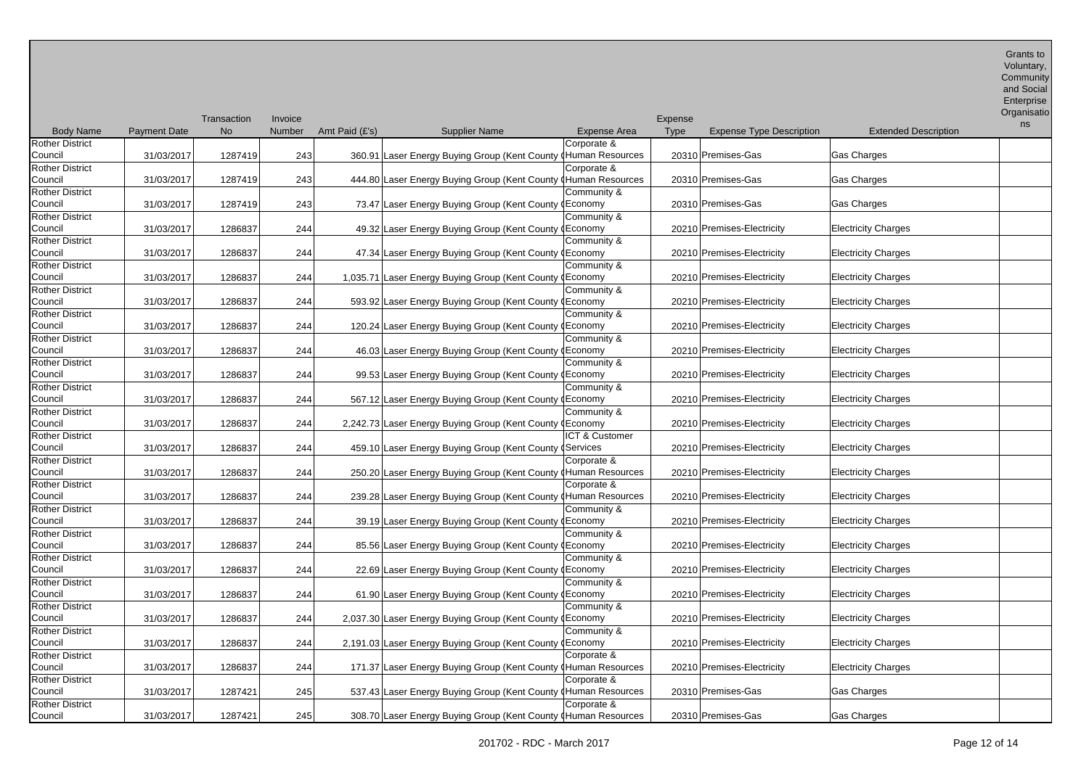| and Social |
|------------|
| Enterprise |

**Organisatio** 

|                        |                     | Transaction | Invoice       |                |                                                                |                     | Expense |                                 |                             | ns |
|------------------------|---------------------|-------------|---------------|----------------|----------------------------------------------------------------|---------------------|---------|---------------------------------|-----------------------------|----|
| <b>Body Name</b>       | <b>Payment Date</b> | <b>No</b>   | <b>Number</b> | Amt Paid (£'s) | <b>Supplier Name</b>                                           | <b>Expense Area</b> | Type    | <b>Expense Type Description</b> | <b>Extended Description</b> |    |
| <b>Rother District</b> |                     |             |               |                |                                                                | Corporate &         |         |                                 |                             |    |
| Council                | 31/03/2017          | 1287419     | 243           |                | 360.91 Laser Energy Buying Group (Kent County (Human Resources |                     |         | 20310 Premises-Gas              | Gas Charges                 |    |
| Rother District        |                     |             |               |                |                                                                | Corporate &         |         |                                 |                             |    |
| Council                | 31/03/2017          | 1287419     | 243           |                | 444.80 Laser Energy Buying Group (Kent County (Human Resources |                     |         | 20310 Premises-Gas              | Gas Charges                 |    |
| <b>Rother District</b> |                     |             |               |                |                                                                | Community &         |         |                                 |                             |    |
| Council                | 31/03/2017          | 1287419     | 243           |                | 73.47 Laser Energy Buying Group (Kent County (Economy          |                     |         | 20310 Premises-Gas              | Gas Charges                 |    |
| <b>Rother District</b> |                     |             |               |                |                                                                | Community &         |         |                                 |                             |    |
| Council                | 31/03/2017          | 1286837     | 244           |                | 49.32 Laser Energy Buying Group (Kent County (Economy          |                     |         | 20210 Premises-Electricity      | <b>Electricity Charges</b>  |    |
| <b>Rother District</b> |                     |             |               |                |                                                                | Community &         |         |                                 |                             |    |
| Council                | 31/03/2017          | 1286837     | 244           |                | 47.34 Laser Energy Buying Group (Kent County (Economy          |                     |         | 20210 Premises-Electricity      | <b>Electricity Charges</b>  |    |
| Rother District        |                     |             |               |                |                                                                | Community &         |         |                                 |                             |    |
| Council                | 31/03/2017          | 1286837     | 244           |                | 1,035.71 Laser Energy Buying Group (Kent County (Economy       |                     |         | 20210 Premises-Electricity      | <b>Electricity Charges</b>  |    |
| <b>Rother District</b> |                     |             |               |                |                                                                | Community &         |         |                                 |                             |    |
| Council                | 31/03/2017          | 1286837     | 244           |                | 593.92 Laser Energy Buying Group (Kent County (Economy         |                     |         | 20210 Premises-Electricity      | <b>Electricity Charges</b>  |    |
| <b>Rother District</b> |                     |             |               |                |                                                                | Community &         |         |                                 |                             |    |
| Council                | 31/03/2017          | 1286837     | 244           |                | 120.24 Laser Energy Buying Group (Kent County (Economy         |                     |         | 20210 Premises-Electricity      | <b>Electricity Charges</b>  |    |
| <b>Rother District</b> |                     |             |               |                |                                                                | Community &         |         |                                 |                             |    |
| Council                | 31/03/2017          | 1286837     | 244           |                | 46.03 Laser Energy Buying Group (Kent County (Economy          |                     |         | 20210 Premises-Electricity      | <b>Electricity Charges</b>  |    |
| <b>Rother District</b> |                     |             |               |                |                                                                | Community &         |         |                                 |                             |    |
| Council                | 31/03/2017          | 1286837     | 244           |                | 99.53 Laser Energy Buying Group (Kent County (Economy          |                     |         | 20210 Premises-Electricity      | <b>Electricity Charges</b>  |    |
| Rother District        |                     |             |               |                |                                                                | Community &         |         |                                 |                             |    |
| Council                | 31/03/2017          | 1286837     | 244           |                | 567.12 Laser Energy Buying Group (Kent County (Economy         |                     |         | 20210 Premises-Electricity      | <b>Electricity Charges</b>  |    |
| <b>Rother District</b> |                     |             |               |                |                                                                | Community &         |         |                                 |                             |    |
| Council                | 31/03/2017          | 1286837     | 244           |                | 2,242.73 Laser Energy Buying Group (Kent County (Economy       |                     |         | 20210 Premises-Electricity      | <b>Electricity Charges</b>  |    |
| Rother District        |                     |             |               |                |                                                                | ICT & Customer      |         |                                 |                             |    |
| Council                | 31/03/2017          | 1286837     | 244           |                | 459.10 Laser Energy Buying Group (Kent County (Services        |                     |         | 20210 Premises-Electricity      | <b>Electricity Charges</b>  |    |
| Rother District        |                     |             |               |                |                                                                | Corporate &         |         |                                 |                             |    |
| Council                | 31/03/2017          | 1286837     | 244           |                | 250.20 Laser Energy Buying Group (Kent County (Human Resources |                     |         | 20210 Premises-Electricity      | <b>Electricity Charges</b>  |    |
| Rother District        |                     |             |               |                |                                                                | Corporate &         |         |                                 |                             |    |
| Council                | 31/03/2017          | 1286837     | 244           |                | 239.28 Laser Energy Buying Group (Kent County (Human Resources |                     |         | 20210 Premises-Electricity      | <b>Electricity Charges</b>  |    |
| Rother District        |                     |             |               |                |                                                                | Community &         |         |                                 |                             |    |
| Council                | 31/03/2017          | 1286837     | 244           |                | 39.19 Laser Energy Buying Group (Kent County (Economy          |                     |         | 20210 Premises-Electricity      | <b>Electricity Charges</b>  |    |
| <b>Rother District</b> |                     |             |               |                |                                                                | Community &         |         |                                 |                             |    |
| Council                | 31/03/2017          | 1286837     | 244           |                | 85.56 Laser Energy Buying Group (Kent County (Economy          |                     |         | 20210 Premises-Electricity      | <b>Electricity Charges</b>  |    |
| <b>Rother District</b> |                     |             |               |                |                                                                | Community &         |         |                                 |                             |    |
| Council                | 31/03/2017          | 1286837     | 244           |                | 22.69 Laser Energy Buying Group (Kent County (Economy          |                     |         | 20210 Premises-Electricity      | <b>Electricity Charges</b>  |    |
| <b>Rother District</b> |                     |             |               |                |                                                                | Community &         |         |                                 |                             |    |
| Council                | 31/03/2017          | 1286837     | 244           |                | 61.90 Laser Energy Buying Group (Kent County (Economy          |                     |         | 20210 Premises-Electricity      | <b>Electricity Charges</b>  |    |
| <b>Rother District</b> |                     |             |               |                |                                                                | Community &         |         |                                 |                             |    |
| Council                | 31/03/2017          | 1286837     | 244           |                | 2,037.30 Laser Energy Buying Group (Kent County (Economy       |                     |         | 20210 Premises-Electricity      | <b>Electricity Charges</b>  |    |
| <b>Rother District</b> |                     |             |               |                |                                                                | Community &         |         |                                 |                             |    |
| Council                | 31/03/2017          | 1286837     | 244           |                | 2,191.03 Laser Energy Buying Group (Kent County (Economy       |                     |         | 20210 Premises-Electricity      | <b>Electricity Charges</b>  |    |
| <b>Rother District</b> |                     |             |               |                |                                                                | Corporate &         |         |                                 |                             |    |
| Council                | 31/03/2017          | 1286837     | 244           |                | 171.37 Laser Energy Buying Group (Kent County (Human Resources |                     |         | 20210 Premises-Electricity      | <b>Electricity Charges</b>  |    |
| Rother District        |                     |             |               |                |                                                                | Corporate &         |         |                                 |                             |    |
| Council                | 31/03/2017          | 1287421     | 245           |                | 537.43 Laser Energy Buying Group (Kent County (Human Resources |                     |         | 20310 Premises-Gas              | Gas Charges                 |    |
| <b>Rother District</b> |                     |             |               |                |                                                                | Corporate &         |         |                                 |                             |    |
| Council                | 31/03/2017          | 1287421     | 245           |                | 308.70 Laser Energy Buying Group (Kent County (Human Resources |                     |         | 20310 Premises-Gas              | <b>Gas Charges</b>          |    |

Expense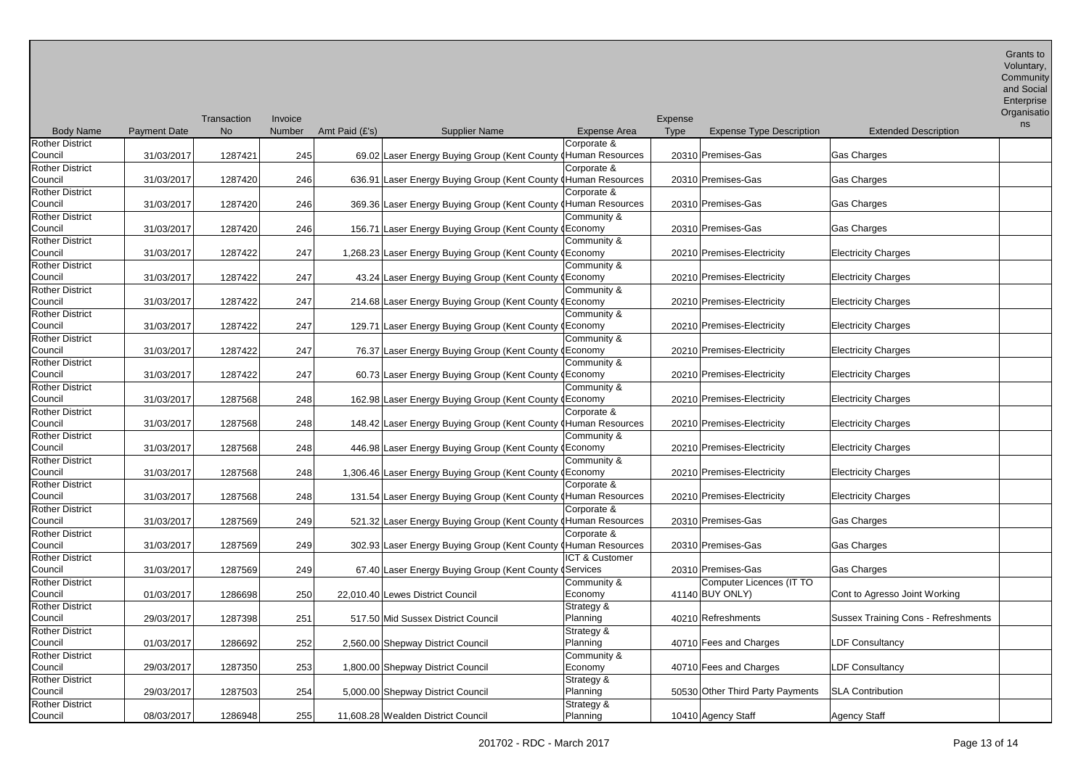| and Social |
|------------|
| Enterprise |

**Organisatio** 

|                        |                     | Transaction | Invoice       |                |                                                                |                | Expense |                                  |                                     | ns |
|------------------------|---------------------|-------------|---------------|----------------|----------------------------------------------------------------|----------------|---------|----------------------------------|-------------------------------------|----|
| <b>Body Name</b>       | <b>Payment Date</b> | <b>No</b>   | <b>Number</b> | Amt Paid (£'s) | <b>Supplier Name</b>                                           | Expense Area   | Type    | <b>Expense Type Description</b>  | <b>Extended Description</b>         |    |
| <b>Rother District</b> |                     |             |               |                |                                                                | Corporate &    |         |                                  |                                     |    |
| Council                | 31/03/2017          | 1287421     | 245           |                | 69.02 Laser Energy Buying Group (Kent County (Human Resources  |                |         | 20310 Premises-Gas               | Gas Charges                         |    |
| <b>Rother District</b> |                     |             |               |                |                                                                | Corporate &    |         |                                  |                                     |    |
| Council                | 31/03/2017          | 1287420     | 246           |                | 636.91 Laser Energy Buying Group (Kent County (Human Resources |                |         | 20310 Premises-Gas               | Gas Charges                         |    |
| <b>Rother District</b> |                     |             |               |                |                                                                | Corporate &    |         |                                  |                                     |    |
| Council                | 31/03/2017          | 1287420     | 246           |                | 369.36 Laser Energy Buying Group (Kent County (Human Resources |                |         | 20310 Premises-Gas               | Gas Charges                         |    |
| <b>Rother District</b> |                     |             |               |                |                                                                | Community &    |         |                                  |                                     |    |
|                        |                     | 1287420     |               |                |                                                                |                |         | 20310 Premises-Gas               | Gas Charges                         |    |
| Council                | 31/03/2017          |             | 246           |                | 156.71 Laser Energy Buying Group (Kent County (Economy         |                |         |                                  |                                     |    |
| <b>Rother District</b> |                     |             |               |                |                                                                | Community &    |         |                                  |                                     |    |
| Council                | 31/03/2017          | 1287422     | 247           |                | 1,268.23 Laser Energy Buying Group (Kent County (Economy       |                |         | 20210 Premises-Electricity       | <b>Electricity Charges</b>          |    |
| <b>Rother District</b> |                     |             |               |                |                                                                | Community &    |         |                                  |                                     |    |
| Council                | 31/03/2017          | 1287422     | 247           |                | 43.24 Laser Energy Buying Group (Kent County (Economy          |                |         | 20210 Premises-Electricity       | <b>Electricity Charges</b>          |    |
| <b>Rother District</b> |                     |             |               |                |                                                                | Community &    |         |                                  |                                     |    |
| Council                | 31/03/2017          | 1287422     | 247           |                | 214.68 Laser Energy Buying Group (Kent County (Economy         |                |         | 20210 Premises-Electricity       | <b>Electricity Charges</b>          |    |
| <b>Rother District</b> |                     |             |               |                |                                                                | Community &    |         |                                  |                                     |    |
| Council                | 31/03/2017          | 1287422     | 247           |                | 129.71 Laser Energy Buying Group (Kent County (Economy         |                |         | 20210 Premises-Electricity       | <b>Electricity Charges</b>          |    |
| <b>Rother District</b> |                     |             |               |                |                                                                | Community &    |         |                                  |                                     |    |
| Council                | 31/03/2017          | 1287422     | 247           |                | 76.37 Laser Energy Buying Group (Kent County (Economy          |                |         | 20210 Premises-Electricity       | <b>Electricity Charges</b>          |    |
| <b>Rother District</b> |                     |             |               |                |                                                                | Community &    |         |                                  |                                     |    |
| Council                | 31/03/2017          | 1287422     | 247           |                | 60.73 Laser Energy Buying Group (Kent County (Economy          |                |         | 20210 Premises-Electricity       | <b>Electricity Charges</b>          |    |
| <b>Rother District</b> |                     |             |               |                |                                                                | Community &    |         |                                  |                                     |    |
| Council                | 31/03/2017          | 1287568     | 248           |                | 162.98 Laser Energy Buying Group (Kent County (Economy         |                |         | 20210 Premises-Electricity       | <b>Electricity Charges</b>          |    |
| <b>Rother District</b> |                     |             |               |                |                                                                | Corporate &    |         |                                  |                                     |    |
| Council                | 31/03/2017          | 1287568     | 248           |                | 148.42 Laser Energy Buying Group (Kent County (Human Resources |                |         | 20210 Premises-Electricity       | <b>Electricity Charges</b>          |    |
| <b>Rother District</b> |                     |             |               |                |                                                                | Community &    |         |                                  |                                     |    |
|                        |                     |             |               |                |                                                                |                |         |                                  |                                     |    |
| Council                | 31/03/2017          | 1287568     | 248           |                | 446.98 Laser Energy Buying Group (Kent County (Economy         |                |         | 20210 Premises-Electricity       | <b>Electricity Charges</b>          |    |
| <b>Rother District</b> |                     |             |               |                |                                                                | Community &    |         |                                  |                                     |    |
| Council                | 31/03/2017          | 1287568     | 248           |                | 1,306.46 Laser Energy Buying Group (Kent County (Economy       |                |         | 20210 Premises-Electricity       | <b>Electricity Charges</b>          |    |
| <b>Rother District</b> |                     |             |               |                |                                                                | Corporate &    |         |                                  |                                     |    |
| Council                | 31/03/2017          | 1287568     | 248           |                | 131.54 Laser Energy Buying Group (Kent County (Human Resources |                |         | 20210 Premises-Electricity       | <b>Electricity Charges</b>          |    |
| <b>Rother District</b> |                     |             |               |                |                                                                | Corporate &    |         |                                  |                                     |    |
| Council                | 31/03/2017          | 1287569     | 249           |                | 521.32 Laser Energy Buying Group (Kent County (Human Resources |                |         | 20310 Premises-Gas               | Gas Charges                         |    |
| <b>Rother District</b> |                     |             |               |                |                                                                | Corporate &    |         |                                  |                                     |    |
| Council                | 31/03/2017          | 1287569     | 249           |                | 302.93 Laser Energy Buying Group (Kent County (Human Resources |                |         | 20310 Premises-Gas               | Gas Charges                         |    |
| <b>Rother District</b> |                     |             |               |                |                                                                | ICT & Customer |         |                                  |                                     |    |
| Council                | 31/03/2017          | 1287569     | 249           |                | 67.40 Laser Energy Buying Group (Kent County (Services         |                |         | 20310 Premises-Gas               | <b>Gas Charges</b>                  |    |
| <b>Rother District</b> |                     |             |               |                |                                                                | Community &    |         | Computer Licences (IT TO         |                                     |    |
| Council                | 01/03/2017          | 1286698     | 250           |                | 22,010.40 Lewes District Council                               | Economy        |         | 41140 BUY ONLY)                  | Cont to Agresso Joint Working       |    |
| <b>Rother District</b> |                     |             |               |                |                                                                | Strategy &     |         |                                  |                                     |    |
| Council                | 29/03/2017          | 1287398     | 251           |                | 517.50 Mid Sussex District Council                             | Planning       |         | 40210 Refreshments               | Sussex Training Cons - Refreshments |    |
| <b>Rother District</b> |                     |             |               |                |                                                                | Strategy &     |         |                                  |                                     |    |
| Council                | 01/03/2017          | 1286692     | 252           |                | 2,560.00 Shepway District Council                              | Planning       |         | 40710 Fees and Charges           | <b>LDF Consultancy</b>              |    |
| <b>Rother District</b> |                     |             |               |                |                                                                |                |         |                                  |                                     |    |
|                        |                     |             |               |                |                                                                | Community &    |         |                                  |                                     |    |
| Council                | 29/03/2017          | 1287350     | 253           |                | 1,800.00 Shepway District Council                              | Economy        |         | 40710 Fees and Charges           | LDF Consultancy                     |    |
| <b>Rother District</b> |                     |             |               |                |                                                                | Strategy &     |         |                                  |                                     |    |
| Council                | 29/03/2017          | 1287503     | 254           |                | 5,000.00 Shepway District Council                              | Planning       |         | 50530 Other Third Party Payments | <b>SLA Contribution</b>             |    |
| <b>Rother District</b> |                     |             |               |                |                                                                | Strategy &     |         |                                  |                                     |    |
| Council                | 08/03/2017          | 1286948     | 255           |                | 11.608.28 Wealden District Council                             | Planning       |         | 10410 Agency Staff               | <b>Agency Staff</b>                 |    |